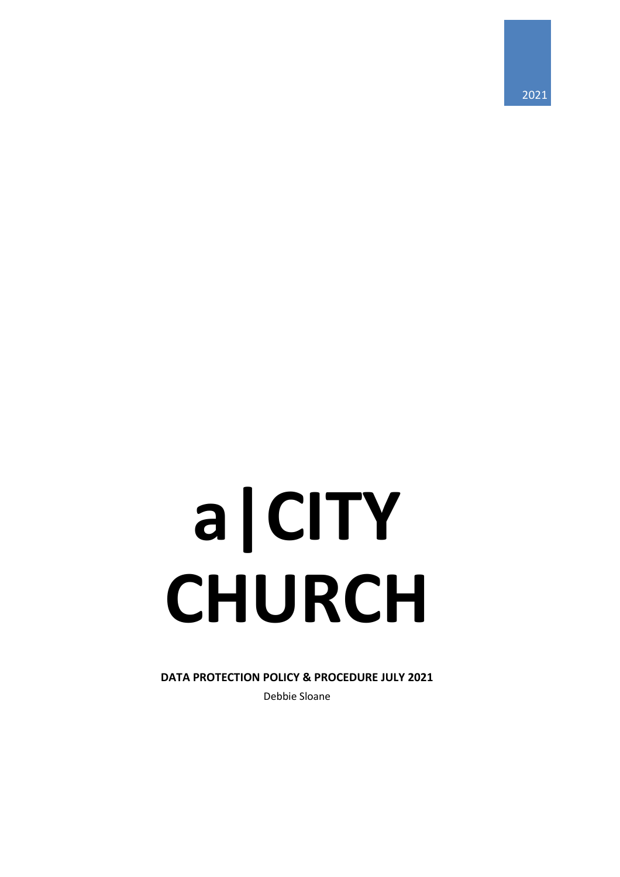2021

# **a|CITY CHURCH**

**DATA PROTECTION POLICY & PROCEDURE JULY 2021** Debbie Sloane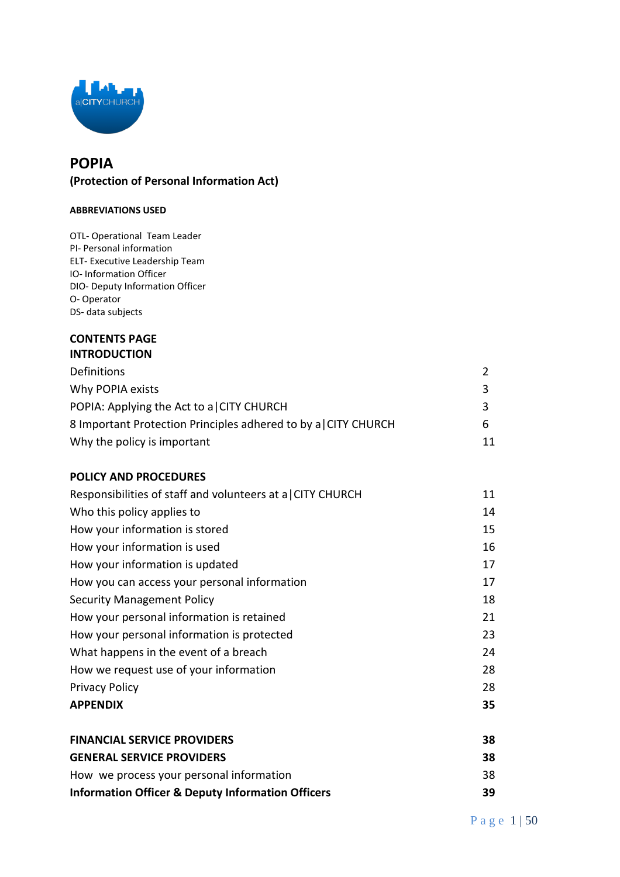

# **POPIA (Protection of Personal Information Act)**

#### **ABBREVIATIONS USED**

OTL- Operational Team Leader PI- Personal information ELT- Executive Leadership Team IO- Information Officer DIO- Deputy Information Officer O- Operator DS- data subjects

## **CONTENTS PAGE INTRODUCTION**

| Definitions                                                   |    |
|---------------------------------------------------------------|----|
| Why POPIA exists                                              | ₹  |
| POPIA: Applying the Act to a CITY CHURCH                      |    |
| 8 Important Protection Principles adhered to by a CITY CHURCH | h  |
| Why the policy is important                                   | 11 |

## **POLICY AND PROCEDURES**

| Responsibilities of staff and volunteers at a CITY CHURCH | 11 |
|-----------------------------------------------------------|----|
| Who this policy applies to                                | 14 |
| How your information is stored                            | 15 |
| How your information is used                              | 16 |
| How your information is updated                           | 17 |
| How you can access your personal information              | 17 |
| <b>Security Management Policy</b>                         | 18 |
| How your personal information is retained                 | 21 |
| How your personal information is protected                | 23 |
| What happens in the event of a breach                     | 24 |
| How we request use of your information                    | 28 |
| <b>Privacy Policy</b>                                     | 28 |
| <b>APPENDIX</b>                                           | 35 |
| <b>FINANCIAL SERVICE PROVIDERS</b>                        | 38 |
| <b>GENERAL SERVICE PROVIDERS</b>                          | 38 |
|                                                           |    |

| How we process your personal information                     | 38 |
|--------------------------------------------------------------|----|
| <b>Information Officer &amp; Deputy Information Officers</b> | 39 |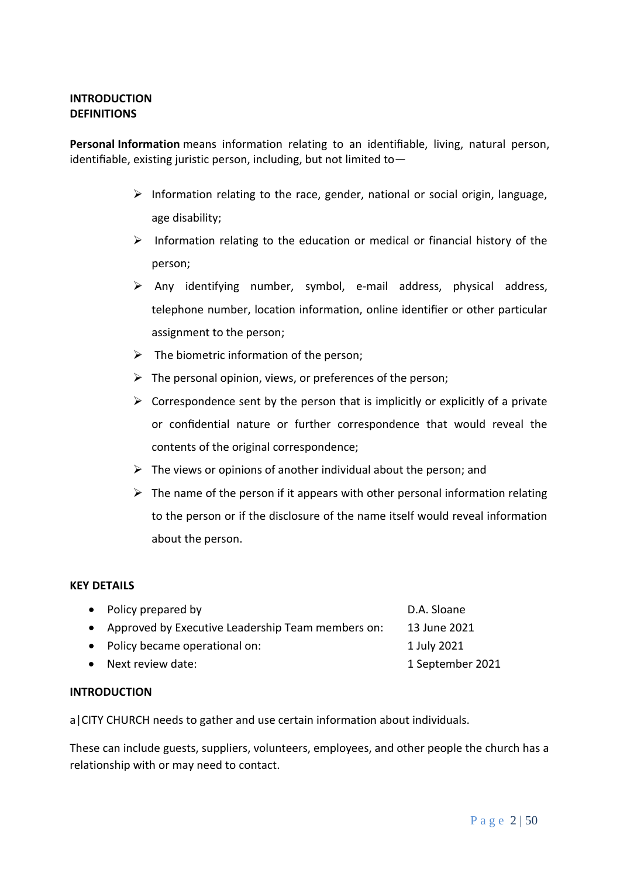## **INTRODUCTION DEFINITIONS**

**Personal Information** means information relating to an identifiable, living, natural person, identifiable, existing juristic person, including, but not limited to—

- ➢ Information relating to the race, gender, national or social origin, language, age disability;
- ➢ Information relating to the education or medical or financial history of the person;
- ➢ Any identifying number, symbol, e-mail address, physical address, telephone number, location information, online identifier or other particular assignment to the person;
- $\triangleright$  The biometric information of the person;
- $\triangleright$  The personal opinion, views, or preferences of the person;
- $\triangleright$  Correspondence sent by the person that is implicitly or explicitly of a private or confidential nature or further correspondence that would reveal the contents of the original correspondence;
- $\triangleright$  The views or opinions of another individual about the person; and
- $\triangleright$  The name of the person if it appears with other personal information relating to the person or if the disclosure of the name itself would reveal information about the person.

## **KEY DETAILS**

| • Policy prepared by                                | D.A. Sloane      |
|-----------------------------------------------------|------------------|
| • Approved by Executive Leadership Team members on: | 13 June 2021     |
| • Policy became operational on:                     | 1 July 2021      |
| • Next review date:                                 | 1 September 2021 |

## **INTRODUCTION**

a|CITY CHURCH needs to gather and use certain information about individuals.

These can include guests, suppliers, volunteers, employees, and other people the church has a relationship with or may need to contact.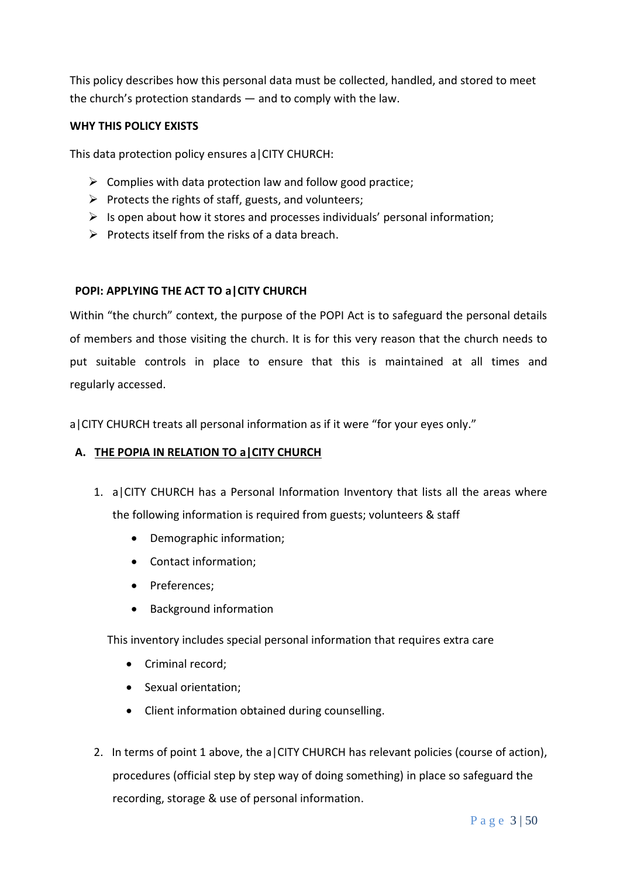This policy describes how this personal data must be collected, handled, and stored to meet the church's protection standards — and to comply with the law.

## **WHY THIS POLICY EXISTS**

This data protection policy ensures a|CITY CHURCH:

- $\triangleright$  Complies with data protection law and follow good practice;
- $\triangleright$  Protects the rights of staff, guests, and volunteers;
- $\triangleright$  Is open about how it stores and processes individuals' personal information;
- $\triangleright$  Protects itself from the risks of a data breach.

## **POPI: APPLYING THE ACT TO a|CITY CHURCH**

Within "the church" context, the purpose of the POPI Act is to safeguard the personal details of members and those visiting the church. It is for this very reason that the church needs to put suitable controls in place to ensure that this is maintained at all times and regularly accessed.

a|CITY CHURCH treats all personal information as if it were "for your eyes only."

## **A. THE POPIA IN RELATION TO a|CITY CHURCH**

- 1. a|CITY CHURCH has a Personal Information Inventory that lists all the areas where the following information is required from guests; volunteers & staff
	- Demographic information;
	- Contact information;
	- Preferences;
	- Background information

This inventory includes special personal information that requires extra care

- Criminal record;
- Sexual orientation;
- Client information obtained during counselling.
- 2. In terms of point 1 above, the a CITY CHURCH has relevant policies (course of action), procedures (official step by step way of doing something) in place so safeguard the recording, storage & use of personal information.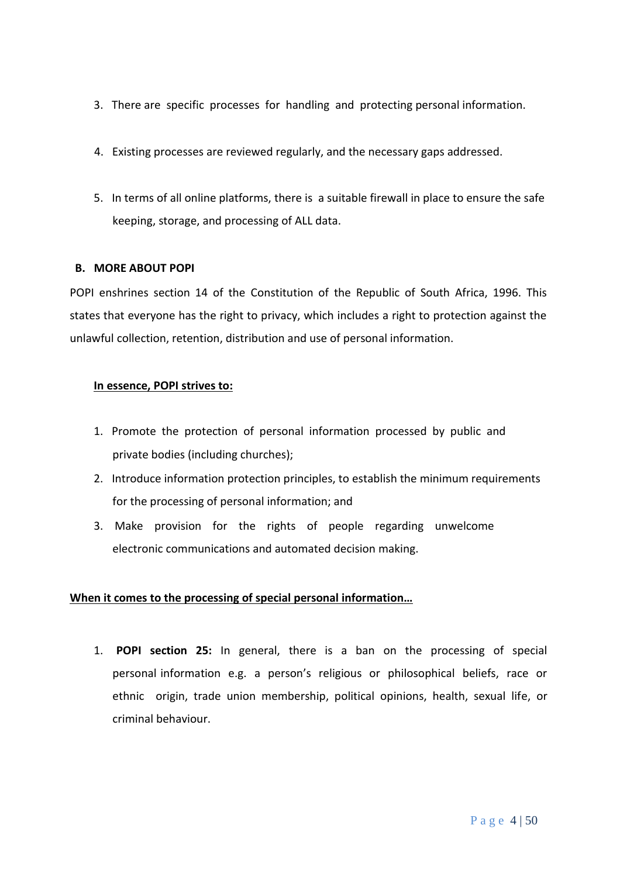- 3. There are specific processes for handling and protecting personal information.
- 4. Existing processes are reviewed regularly, and the necessary gaps addressed.
- 5. In terms of all online platforms, there is a suitable firewall in place to ensure the safe keeping, storage, and processing of ALL data.

## **B. MORE ABOUT POPI**

POPI enshrines section 14 of the Constitution of the Republic of South Africa, 1996. This states that everyone has the right to privacy, which includes a right to protection against the unlawful collection, retention, distribution and use of personal information.

## **In essence, POPI strives to:**

- 1. Promote the protection of personal information processed by public and private bodies (including churches);
- 2. Introduce information protection principles, to establish the minimum requirements for the processing of personal information; and
- 3. Make provision for the rights of people regarding unwelcome electronic communications and automated decision making.

## **When it comes to the processing of special personal information…**

1. **POPI section 25:** In general, there is a ban on the processing of special personal information e.g. a person's religious or philosophical beliefs, race or ethnic origin, trade union membership, political opinions, health, sexual life, or criminal behaviour.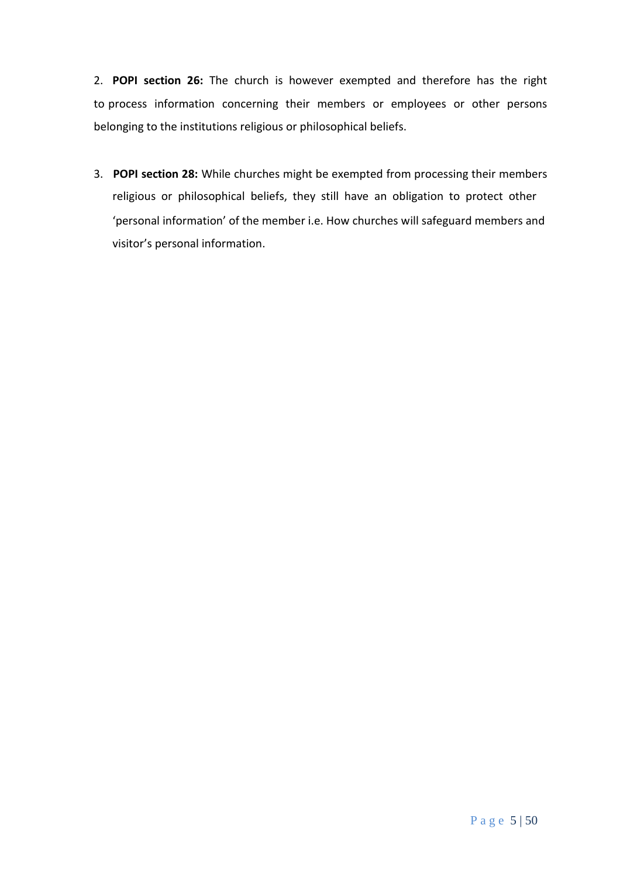2. **POPI section 26:** The church is however exempted and therefore has the right to process information concerning their members or employees or other persons belonging to the institutions religious or philosophical beliefs.

3. **POPI section 28:** While churches might be exempted from processing their members religious or philosophical beliefs, they still have an obligation to protect other 'personal information' of the member i.e. How churches will safeguard members and visitor's personal information.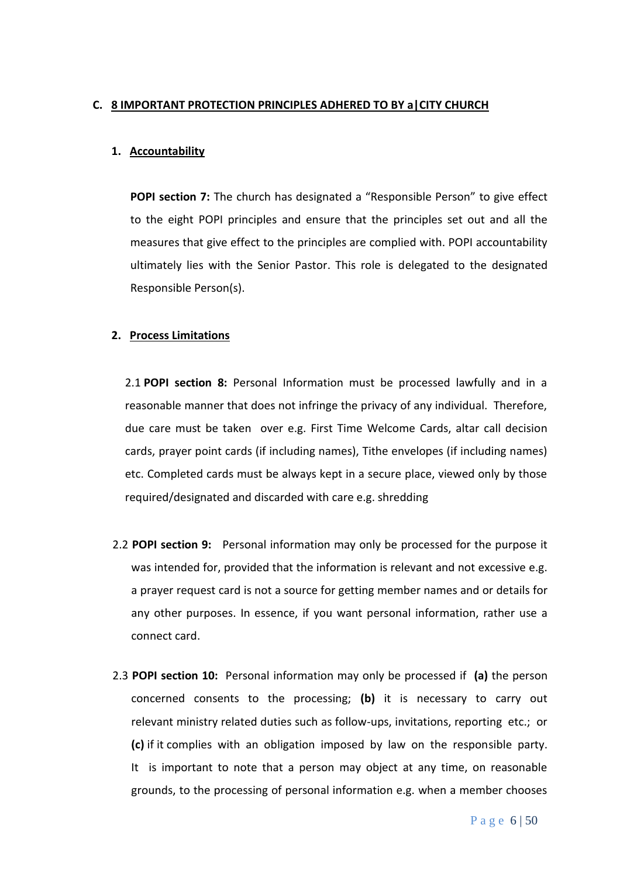## **C. 8 IMPORTANT PROTECTION PRINCIPLES ADHERED TO BY a|CITY CHURCH**

## **1. Accountability**

**POPI section 7:** The church has designated a "Responsible Person" to give effect to the eight POPI principles and ensure that the principles set out and all the measures that give effect to the principles are complied with. POPI accountability ultimately lies with the Senior Pastor. This role is delegated to the designated Responsible Person(s).

## **2. Process Limitations**

2.1 **POPI section 8:** Personal Information must be processed lawfully and in a reasonable manner that does not infringe the privacy of any individual. Therefore, due care must be taken over e.g. First Time Welcome Cards, altar call decision cards, prayer point cards (if including names), Tithe envelopes (if including names) etc. Completed cards must be always kept in a secure place, viewed only by those required/designated and discarded with care e.g. shredding

- 2.2 **POPI section 9:** Personal information may only be processed for the purpose it was intended for, provided that the information is relevant and not excessive e.g. a prayer request card is not a source for getting member names and or details for any other purposes. In essence, if you want personal information, rather use a connect card.
- 2.3 **POPI section 10:** Personal information may only be processed if **(a)** the person concerned consents to the processing; **(b)** it is necessary to carry out relevant ministry related duties such as follow-ups, invitations, reporting etc.; or **(c)** if it complies with an obligation imposed by law on the responsible party. It is important to note that a person may object at any time, on reasonable grounds, to the processing of personal information e.g. when a member chooses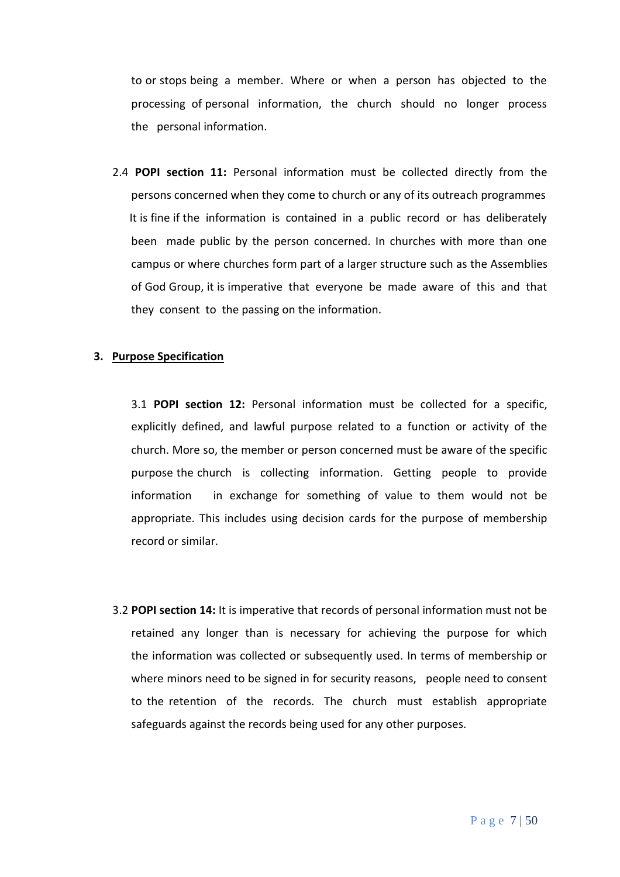to or stops being a member. Where or when a person has objected to the processing of personal information, the church should no longer process the personal information.

2.4 **POPI section 11:** Personal information must be collected directly from the persons concerned when they come to church or any of its outreach programmes It is fine if the information is contained in a public record or has deliberately been made public by the person concerned. In churches with more than one campus or where churches form part of a larger structure such as the Assemblies of God Group, it is imperative that everyone be made aware of this and that they consent to the passing on the information.

#### **3. Purpose Specification**

3.1 **POPI section 12:** Personal information must be collected for a specific, explicitly defined, and lawful purpose related to a function or activity of the church. More so, the member or person concerned must be aware of the specific purpose the church is collecting information. Getting people to provide information in exchange for something of value to them would not be appropriate. This includes using decision cards for the purpose of membership record or similar.

3.2 **POPI section 14:** It is imperative that records of personal information must not be retained any longer than is necessary for achieving the purpose for which the information was collected or subsequently used. In terms of membership or where minors need to be signed in for security reasons, people need to consent to the retention of the records. The church must establish appropriate safeguards against the records being used for any other purposes.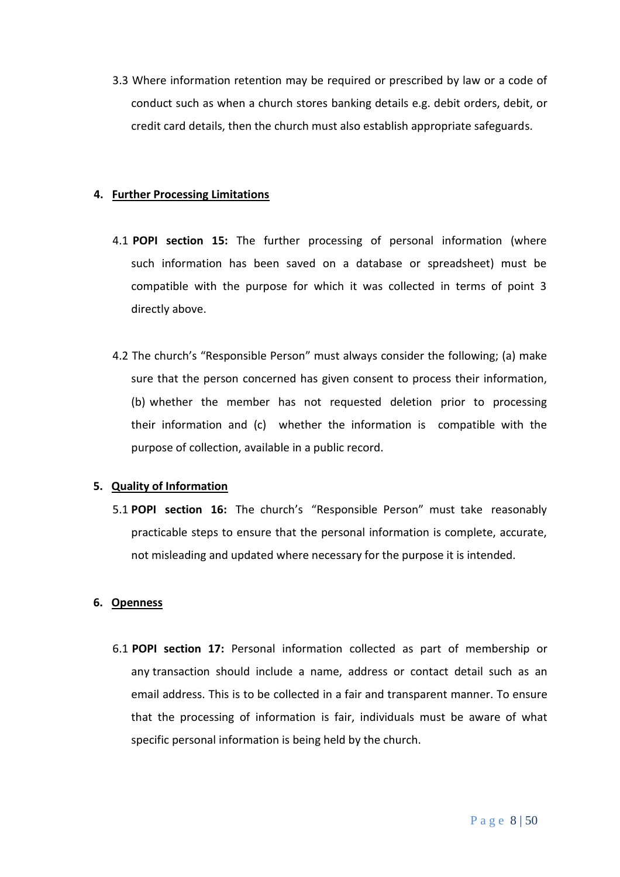3.3 Where information retention may be required or prescribed by law or a code of conduct such as when a church stores banking details e.g. debit orders, debit, or credit card details, then the church must also establish appropriate safeguards.

#### **4. Further Processing Limitations**

- 4.1 **POPI section 15:** The further processing of personal information (where such information has been saved on a database or spreadsheet) must be compatible with the purpose for which it was collected in terms of point 3 directly above.
- 4.2 The church's "Responsible Person" must always consider the following; (a) make sure that the person concerned has given consent to process their information, (b) whether the member has not requested deletion prior to processing their information and (c) whether the information is compatible with the purpose of collection, available in a public record.

## **5. Quality of Information**

5.1 **POPI section 16:** The church's "Responsible Person" must take reasonably practicable steps to ensure that the personal information is complete, accurate, not misleading and updated where necessary for the purpose it is intended.

## **6. Openness**

6.1 **POPI section 17:** Personal information collected as part of membership or any transaction should include a name, address or contact detail such as an email address. This is to be collected in a fair and transparent manner. To ensure that the processing of information is fair, individuals must be aware of what specific personal information is being held by the church.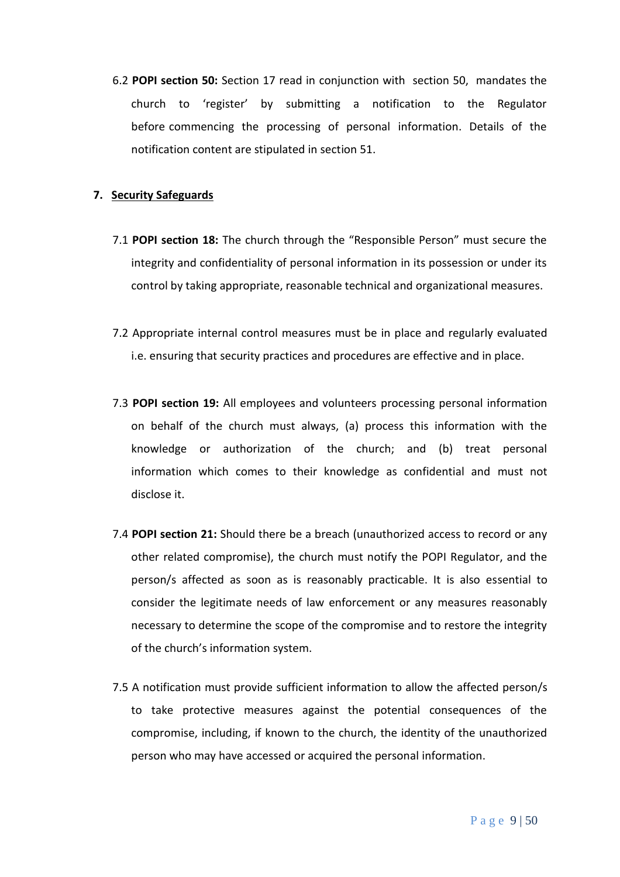6.2 **POPI section 50:** Section 17 read in conjunction with section 50, mandates the church to 'register' by submitting a notification to the Regulator before commencing the processing of personal information. Details of the notification content are stipulated in section 51.

## **7. Security Safeguards**

- 7.1 **POPI section 18:** The church through the "Responsible Person" must secure the integrity and confidentiality of personal information in its possession or under its control by taking appropriate, reasonable technical and organizational measures.
- 7.2 Appropriate internal control measures must be in place and regularly evaluated i.e. ensuring that security practices and procedures are effective and in place.
- 7.3 **POPI section 19:** All employees and volunteers processing personal information on behalf of the church must always, (a) process this information with the knowledge or authorization of the church; and (b) treat personal information which comes to their knowledge as confidential and must not disclose it.
- 7.4 **POPI section 21:** Should there be a breach (unauthorized access to record or any other related compromise), the church must notify the POPI Regulator, and the person/s affected as soon as is reasonably practicable. It is also essential to consider the legitimate needs of law enforcement or any measures reasonably necessary to determine the scope of the compromise and to restore the integrity of the church's information system.
- 7.5 A notification must provide sufficient information to allow the affected person/s to take protective measures against the potential consequences of the compromise, including, if known to the church, the identity of the unauthorized person who may have accessed or acquired the personal information.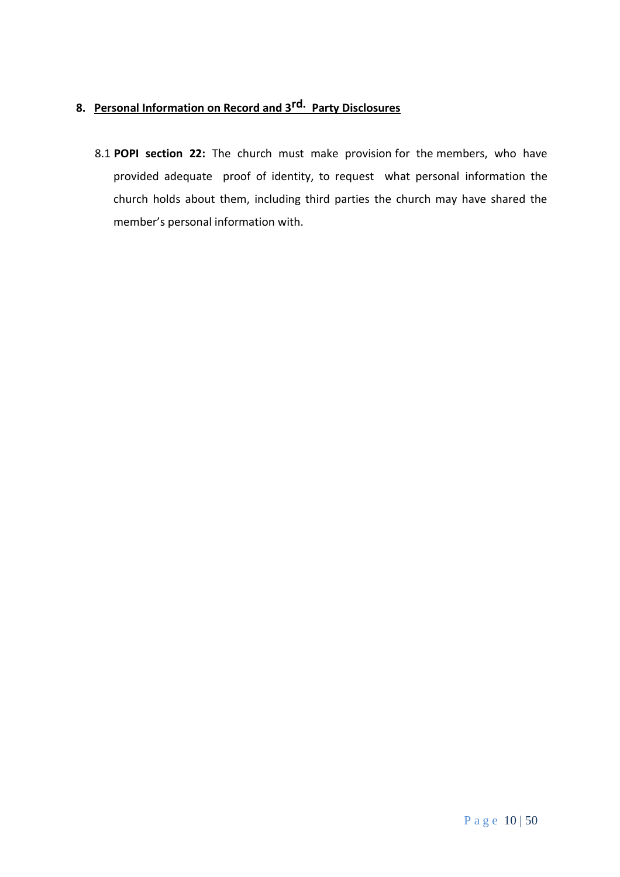# **8. Personal Information on Record and 3rd. Party Disclosures**

8.1 **POPI section 22:** The church must make provision for the members, who have provided adequate proof of identity, to request what personal information the church holds about them, including third parties the church may have shared the member's personal information with.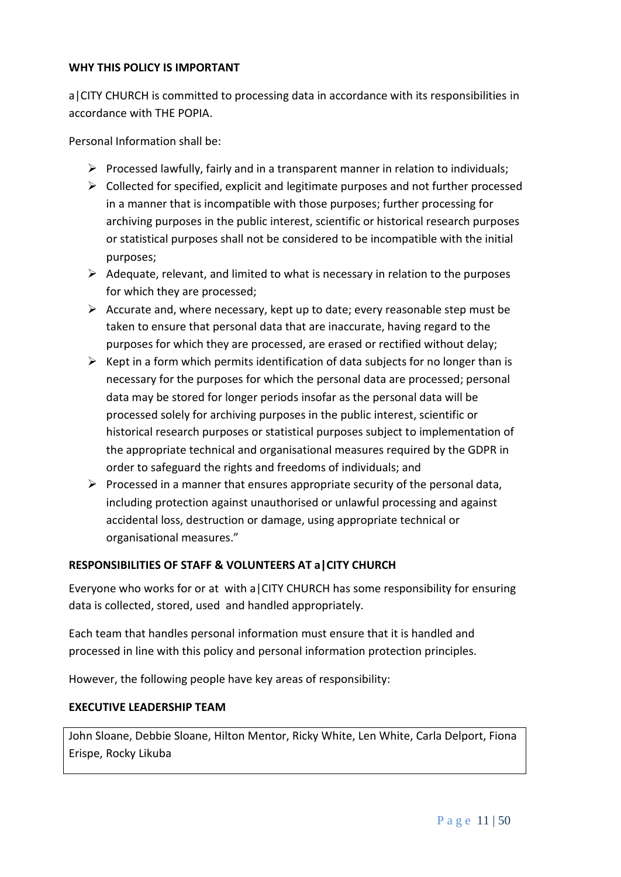## **WHY THIS POLICY IS IMPORTANT**

a|CITY CHURCH is committed to processing data in accordance with its responsibilities in accordance with THE POPIA.

Personal Information shall be:

- $\triangleright$  Processed lawfully, fairly and in a transparent manner in relation to individuals;
- $\triangleright$  Collected for specified, explicit and legitimate purposes and not further processed in a manner that is incompatible with those purposes; further processing for archiving purposes in the public interest, scientific or historical research purposes or statistical purposes shall not be considered to be incompatible with the initial purposes;
- $\triangleright$  Adequate, relevant, and limited to what is necessary in relation to the purposes for which they are processed;
- $\triangleright$  Accurate and, where necessary, kept up to date; every reasonable step must be taken to ensure that personal data that are inaccurate, having regard to the purposes for which they are processed, are erased or rectified without delay;
- $\triangleright$  Kept in a form which permits identification of data subjects for no longer than is necessary for the purposes for which the personal data are processed; personal data may be stored for longer periods insofar as the personal data will be processed solely for archiving purposes in the public interest, scientific or historical research purposes or statistical purposes subject to implementation of the appropriate technical and organisational measures required by the GDPR in order to safeguard the rights and freedoms of individuals; and
- $\triangleright$  Processed in a manner that ensures appropriate security of the personal data, including protection against unauthorised or unlawful processing and against accidental loss, destruction or damage, using appropriate technical or organisational measures."

## **RESPONSIBILITIES OF STAFF & VOLUNTEERS AT a|CITY CHURCH**

Everyone who works for or at with a|CITY CHURCH has some responsibility for ensuring data is collected, stored, used and handled appropriately.

Each team that handles personal information must ensure that it is handled and processed in line with this policy and personal information protection principles.

However, the following people have key areas of responsibility:

## **EXECUTIVE LEADERSHIP TEAM**

John Sloane, Debbie Sloane, Hilton Mentor, Ricky White, Len White, Carla Delport, Fiona Erispe, Rocky Likuba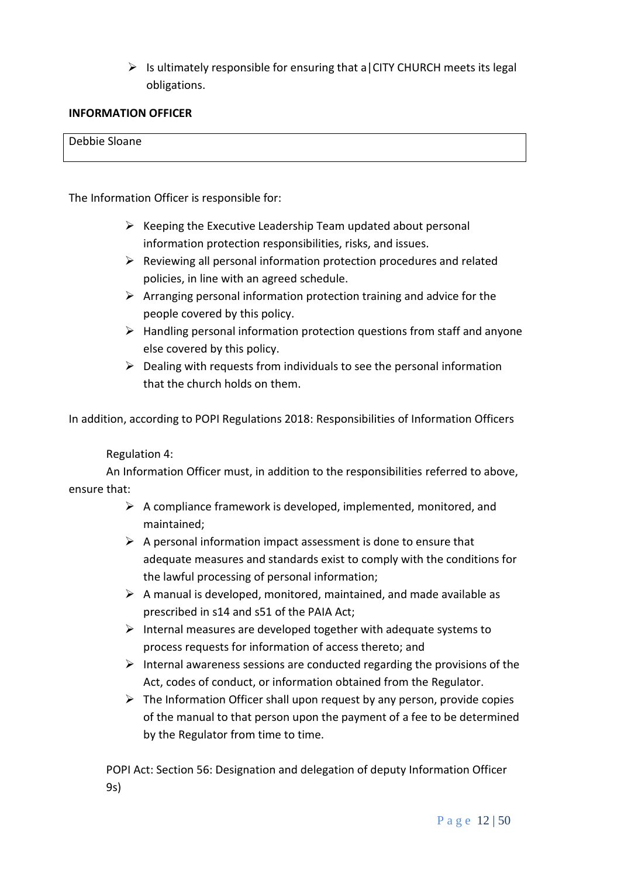$\triangleright$  Is ultimately responsible for ensuring that a CITY CHURCH meets its legal obligations.

## **INFORMATION OFFICER**

## Debbie Sloane

The Information Officer is responsible for:

- $\triangleright$  Keeping the Executive Leadership Team updated about personal information protection responsibilities, risks, and issues.
- ➢ Reviewing all personal information protection procedures and related policies, in line with an agreed schedule.
- $\triangleright$  Arranging personal information protection training and advice for the people covered by this policy.
- ➢ Handling personal information protection questions from staff and anyone else covered by this policy.
- $\triangleright$  Dealing with requests from individuals to see the personal information that the church holds on them.

In addition, according to POPI Regulations 2018: Responsibilities of Information Officers

## Regulation 4:

An Information Officer must, in addition to the responsibilities referred to above, ensure that:

- $\triangleright$  A compliance framework is developed, implemented, monitored, and maintained;
- $\triangleright$  A personal information impact assessment is done to ensure that adequate measures and standards exist to comply with the conditions for the lawful processing of personal information;
- $\triangleright$  A manual is developed, monitored, maintained, and made available as prescribed in s14 and s51 of the PAIA Act;
- $\triangleright$  Internal measures are developed together with adequate systems to process requests for information of access thereto; and
- $\triangleright$  Internal awareness sessions are conducted regarding the provisions of the Act, codes of conduct, or information obtained from the Regulator.
- $\triangleright$  The Information Officer shall upon request by any person, provide copies of the manual to that person upon the payment of a fee to be determined by the Regulator from time to time.

POPI Act: Section 56: Designation and delegation of deputy Information Officer 9s)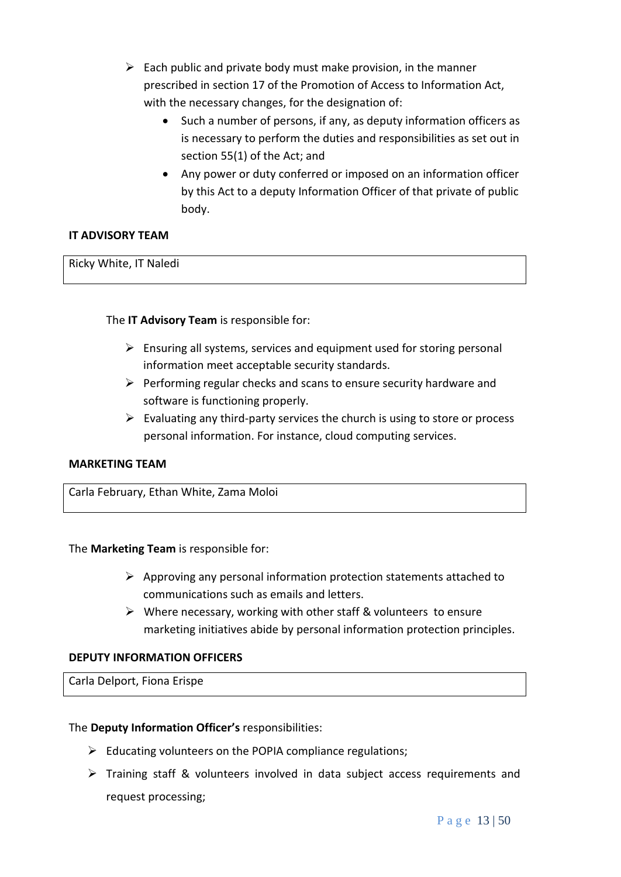- $\triangleright$  Each public and private body must make provision, in the manner prescribed in section 17 of the Promotion of Access to Information Act, with the necessary changes, for the designation of:
	- Such a number of persons, if any, as deputy information officers as is necessary to perform the duties and responsibilities as set out in section 55(1) of the Act; and
	- Any power or duty conferred or imposed on an information officer by this Act to a deputy Information Officer of that private of public body.

## **IT ADVISORY TEAM**

Ricky White, IT Naledi

## The **IT Advisory Team** is responsible for:

- $\triangleright$  Ensuring all systems, services and equipment used for storing personal information meet acceptable security standards.
- $\triangleright$  Performing regular checks and scans to ensure security hardware and software is functioning properly.
- $\triangleright$  Evaluating any third-party services the church is using to store or process personal information. For instance, cloud computing services.

## **MARKETING TEAM**

Carla February, Ethan White, Zama Moloi

The **Marketing Team** is responsible for:

- $\triangleright$  Approving any personal information protection statements attached to communications such as emails and letters.
- ➢ Where necessary, working with other staff & volunteers to ensure marketing initiatives abide by personal information protection principles.

## **DEPUTY INFORMATION OFFICERS**

Carla Delport, Fiona Erispe

## The **Deputy Information Officer's** responsibilities:

- $\triangleright$  Educating volunteers on the POPIA compliance regulations;
- ➢ Training staff & volunteers involved in data subject access requirements and request processing;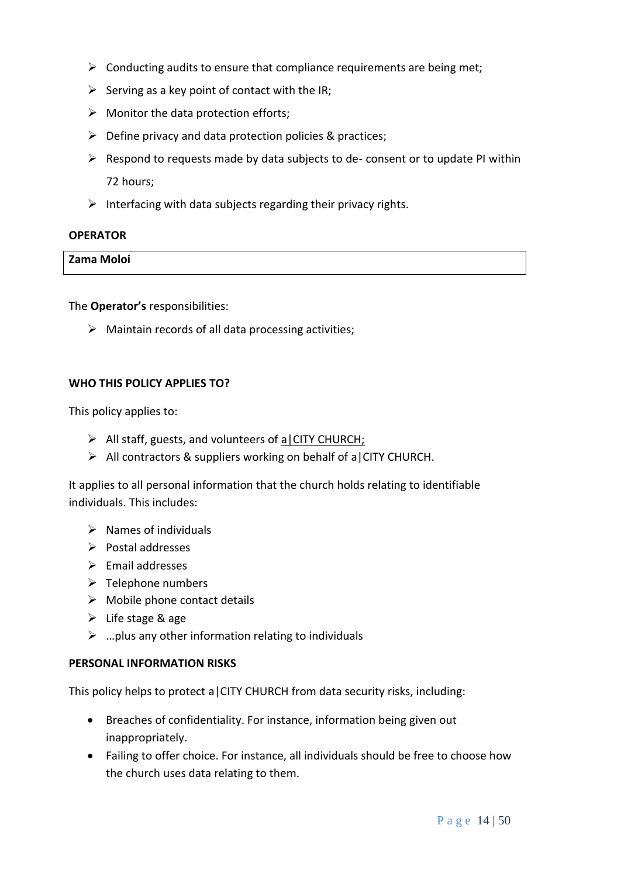- $\triangleright$  Conducting audits to ensure that compliance requirements are being met;
- $\triangleright$  Serving as a key point of contact with the IR;
- $\triangleright$  Monitor the data protection efforts;
- ➢ Define privacy and data protection policies & practices;
- $\triangleright$  Respond to requests made by data subjects to de- consent or to update PI within 72 hours;
- $\triangleright$  Interfacing with data subjects regarding their privacy rights.

## **OPERATOR**

**Zama Moloi**

The **Operator's** responsibilities:

➢ Maintain records of all data processing activities;

## **WHO THIS POLICY APPLIES TO?**

This policy applies to:

- ➢ All staff, guests, and volunteers of a|CITY CHURCH;
- $\triangleright$  All contractors & suppliers working on behalf of a CITY CHURCH.

It applies to all personal information that the church holds relating to identifiable individuals. This includes:

- $\triangleright$  Names of individuals
- ➢ Postal addresses
- ➢ Email addresses
- $\triangleright$  Telephone numbers
- $\triangleright$  Mobile phone contact details
- $\triangleright$  Life stage & age
- $\triangleright$  ... plus any other information relating to individuals

## **PERSONAL INFORMATION RISKS**

This policy helps to protect a|CITY CHURCH from data security risks, including:

- Breaches of confidentiality. For instance, information being given out inappropriately.
- Failing to offer choice. For instance, all individuals should be free to choose how the church uses data relating to them.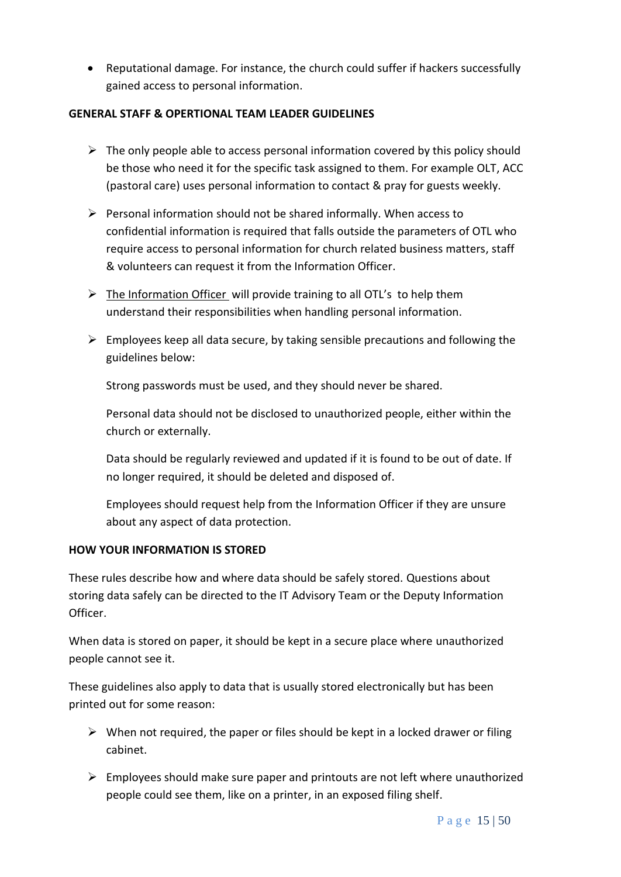• Reputational damage. For instance, the church could suffer if hackers successfully gained access to personal information.

## **GENERAL STAFF & OPERTIONAL TEAM LEADER GUIDELINES**

- $\triangleright$  The only people able to access personal information covered by this policy should be those who need it for the specific task assigned to them. For example OLT, ACC (pastoral care) uses personal information to contact & pray for guests weekly.
- $\triangleright$  Personal information should not be shared informally. When access to confidential information is required that falls outside the parameters of OTL who require access to personal information for church related business matters, staff & volunteers can request it from the Information Officer.
- $\triangleright$  The Information Officer will provide training to all OTL's to help them understand their responsibilities when handling personal information.
- $\triangleright$  Employees keep all data secure, by taking sensible precautions and following the guidelines below:

Strong passwords must be used, and they should never be shared.

Personal data should not be disclosed to unauthorized people, either within the church or externally.

Data should be regularly reviewed and updated if it is found to be out of date. If no longer required, it should be deleted and disposed of.

Employees should request help from the Information Officer if they are unsure about any aspect of data protection.

## **HOW YOUR INFORMATION IS STORED**

These rules describe how and where data should be safely stored. Questions about storing data safely can be directed to the IT Advisory Team or the Deputy Information Officer.

When data is stored on paper, it should be kept in a secure place where unauthorized people cannot see it.

These guidelines also apply to data that is usually stored electronically but has been printed out for some reason:

- $\triangleright$  When not required, the paper or files should be kept in a locked drawer or filing cabinet.
- $\triangleright$  Employees should make sure paper and printouts are not left where unauthorized people could see them, like on a printer, in an exposed filing shelf.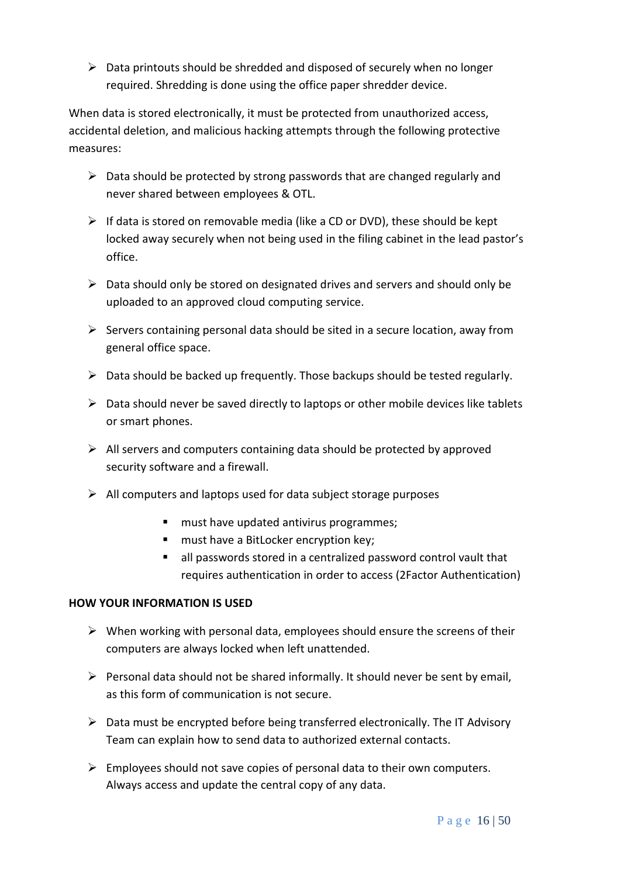$\triangleright$  Data printouts should be shredded and disposed of securely when no longer required. Shredding is done using the office paper shredder device.

When data is stored electronically, it must be protected from unauthorized access, accidental deletion, and malicious hacking attempts through the following protective measures:

- $\triangleright$  Data should be protected by strong passwords that are changed regularly and never shared between employees & OTL.
- ➢ If data is stored on removable media (like a CD or DVD), these should be kept locked away securely when not being used in the filing cabinet in the lead pastor's office.
- $\triangleright$  Data should only be stored on designated drives and servers and should only be uploaded to an approved cloud computing service.
- $\triangleright$  Servers containing personal data should be sited in a secure location, away from general office space.
- $\triangleright$  Data should be backed up frequently. Those backups should be tested regularly.
- $\triangleright$  Data should never be saved directly to laptops or other mobile devices like tablets or smart phones.
- $\triangleright$  All servers and computers containing data should be protected by approved security software and a firewall.
- $\triangleright$  All computers and laptops used for data subject storage purposes
	- must have updated antivirus programmes;
	- must have a BitLocker encryption key;
	- all passwords stored in a centralized password control vault that requires authentication in order to access (2Factor Authentication)

## **HOW YOUR INFORMATION IS USED**

- $\triangleright$  When working with personal data, employees should ensure the screens of their computers are always locked when left unattended.
- $\triangleright$  Personal data should not be shared informally. It should never be sent by email, as this form of communication is not secure.
- $\triangleright$  Data must be encrypted before being transferred electronically. The IT Advisory Team can explain how to send data to authorized external contacts.
- $\triangleright$  Employees should not save copies of personal data to their own computers. Always access and update the central copy of any data.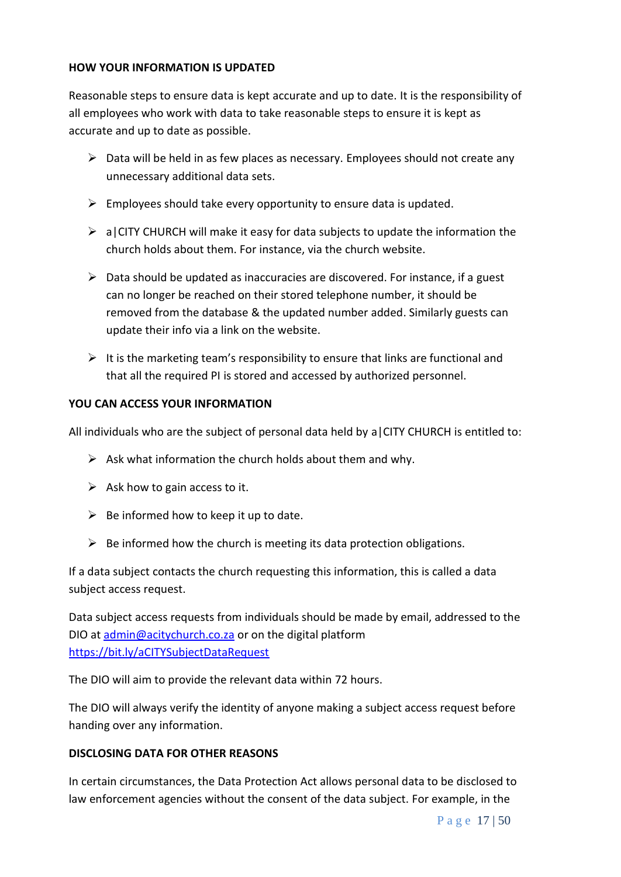## **HOW YOUR INFORMATION IS UPDATED**

Reasonable steps to ensure data is kept accurate and up to date. It is the responsibility of all employees who work with data to take reasonable steps to ensure it is kept as accurate and up to date as possible.

- $\triangleright$  Data will be held in as few places as necessary. Employees should not create any unnecessary additional data sets.
- $\triangleright$  Employees should take every opportunity to ensure data is updated.
- $\triangleright$  a CITY CHURCH will make it easy for data subjects to update the information the church holds about them. For instance, via the church website.
- $\triangleright$  Data should be updated as inaccuracies are discovered. For instance, if a guest can no longer be reached on their stored telephone number, it should be removed from the database & the updated number added. Similarly guests can update their info via a link on the website.
- $\triangleright$  It is the marketing team's responsibility to ensure that links are functional and that all the required PI is stored and accessed by authorized personnel.

## **YOU CAN ACCESS YOUR INFORMATION**

All individuals who are the subject of personal data held by a|CITY CHURCH is entitled to:

- $\triangleright$  Ask what information the church holds about them and why.
- $\triangleright$  Ask how to gain access to it.
- $\triangleright$  Be informed how to keep it up to date.
- $\triangleright$  Be informed how the church is meeting its data protection obligations.

If a data subject contacts the church requesting this information, this is called a data subject access request.

Data subject access requests from individuals should be made by email, addressed to the DIO at [admin@acitychurch.co.za](mailto:admin@acitychurch.co.za) or on the digital platform <https://bit.ly/aCITYSubjectDataRequest>

The DIO will aim to provide the relevant data within 72 hours.

The DIO will always verify the identity of anyone making a subject access request before handing over any information.

## **DISCLOSING DATA FOR OTHER REASONS**

In certain circumstances, the Data Protection Act allows personal data to be disclosed to law enforcement agencies without the consent of the data subject. For example, in the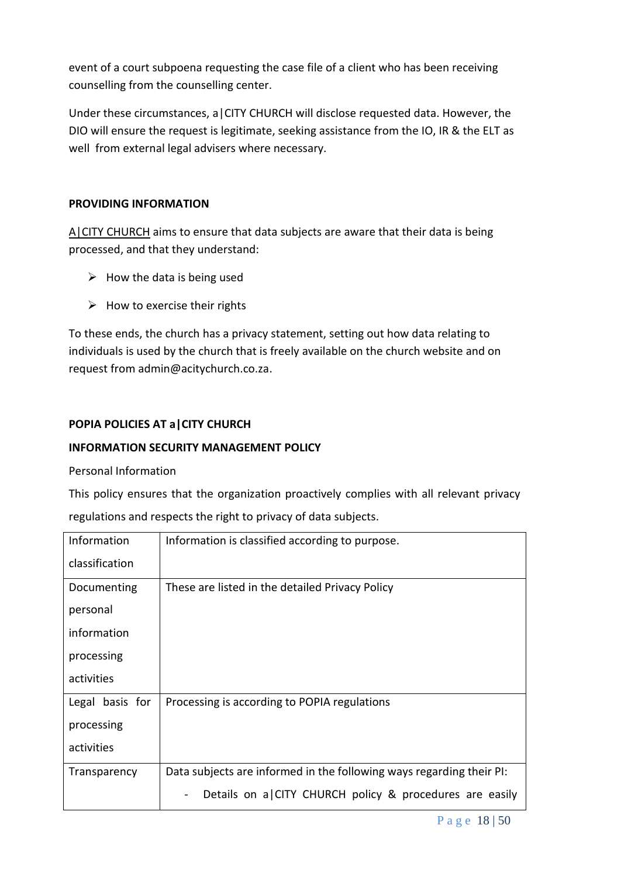event of a court subpoena requesting the case file of a client who has been receiving counselling from the counselling center.

Under these circumstances, a|CITY CHURCH will disclose requested data. However, the DIO will ensure the request is legitimate, seeking assistance from the IO, IR & the ELT as well from external legal advisers where necessary.

## **PROVIDING INFORMATION**

A CITY CHURCH aims to ensure that data subjects are aware that their data is being processed, and that they understand:

- $\triangleright$  How the data is being used
- $\triangleright$  How to exercise their rights

To these ends, the church has a privacy statement, setting out how data relating to individuals is used by the church that is freely available on the church website and on request from admin@acitychurch.co.za.

# **POPIA POLICIES AT a|CITY CHURCH**

# **INFORMATION SECURITY MANAGEMENT POLICY**

## Personal Information

This policy ensures that the organization proactively complies with all relevant privacy regulations and respects the right to privacy of data subjects.

| Information     | Information is classified according to purpose.                      |
|-----------------|----------------------------------------------------------------------|
| classification  |                                                                      |
| Documenting     | These are listed in the detailed Privacy Policy                      |
| personal        |                                                                      |
| information     |                                                                      |
| processing      |                                                                      |
| activities      |                                                                      |
| Legal basis for | Processing is according to POPIA regulations                         |
| processing      |                                                                      |
| activities      |                                                                      |
| Transparency    | Data subjects are informed in the following ways regarding their PI: |
|                 | Details on a CITY CHURCH policy & procedures are easily              |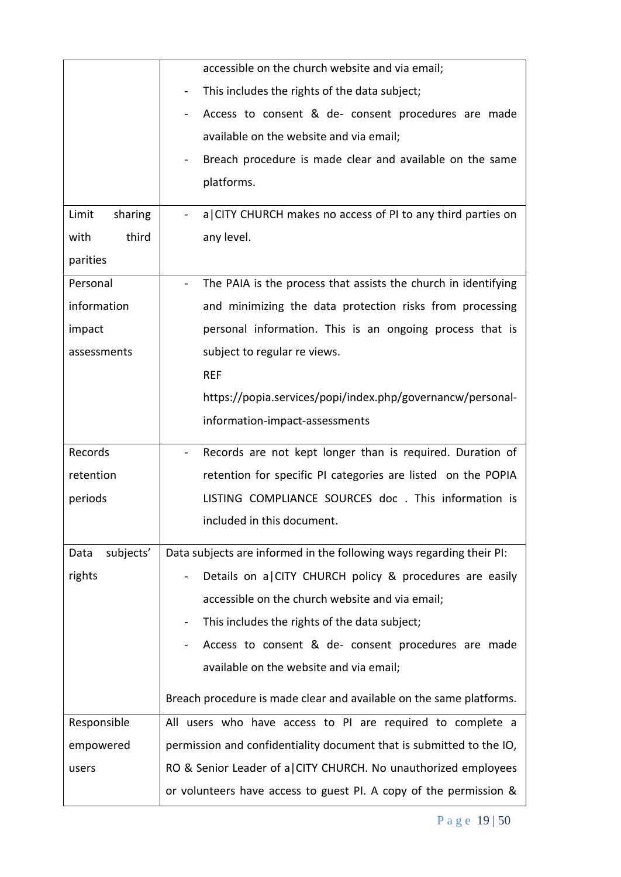|                   | accessible on the church website and via email;                                            |
|-------------------|--------------------------------------------------------------------------------------------|
|                   | This includes the rights of the data subject;<br>$\blacksquare$                            |
|                   | Access to consent & de- consent procedures are made<br>$\blacksquare$                      |
|                   | available on the website and via email;                                                    |
|                   | Breach procedure is made clear and available on the same<br>$\blacksquare$                 |
| platforms.        |                                                                                            |
| Limit<br>sharing  | a CITY CHURCH makes no access of PI to any third parties on                                |
| third<br>with     | any level.                                                                                 |
| parities          |                                                                                            |
| Personal          | The PAIA is the process that assists the church in identifying<br>$\overline{\phantom{0}}$ |
| information       |                                                                                            |
|                   | and minimizing the data protection risks from processing                                   |
| impact            | personal information. This is an ongoing process that is                                   |
| assessments       | subject to regular re views.                                                               |
|                   | <b>REF</b>                                                                                 |
|                   | https://popia.services/popi/index.php/governancw/personal-                                 |
|                   | information-impact-assessments                                                             |
| Records           | Records are not kept longer than is required. Duration of<br>$\blacksquare$                |
|                   |                                                                                            |
| retention         | retention for specific PI categories are listed on the POPIA                               |
| periods           | LISTING COMPLIANCE SOURCES doc . This information is                                       |
|                   | included in this document.                                                                 |
| subjects'<br>Data | Data subjects are informed in the following ways regarding their PI:                       |
| rights            | Details on a CITY CHURCH policy & procedures are easily                                    |
|                   | accessible on the church website and via email;                                            |
|                   | This includes the rights of the data subject;                                              |
|                   | Access to consent & de- consent procedures are made                                        |
|                   | available on the website and via email;                                                    |
|                   | Breach procedure is made clear and available on the same platforms.                        |
| Responsible       | All users who have access to PI are required to complete a                                 |
| empowered         | permission and confidentiality document that is submitted to the IO,                       |
| users             | RO & Senior Leader of a CITY CHURCH. No unauthorized employees                             |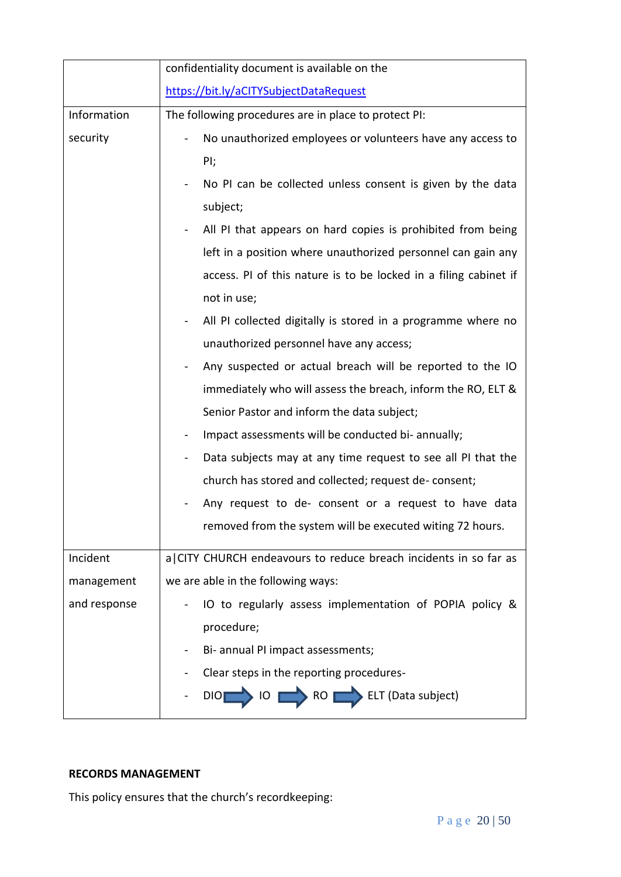|              | confidentiality document is available on the                                                                  |  |  |
|--------------|---------------------------------------------------------------------------------------------------------------|--|--|
|              | https://bit.ly/aCITYSubjectDataRequest                                                                        |  |  |
| Information  | The following procedures are in place to protect PI:                                                          |  |  |
| security     | No unauthorized employees or volunteers have any access to                                                    |  |  |
|              | PI;                                                                                                           |  |  |
|              | No PI can be collected unless consent is given by the data<br>$\blacksquare$                                  |  |  |
|              | subject;                                                                                                      |  |  |
|              | All PI that appears on hard copies is prohibited from being                                                   |  |  |
|              | left in a position where unauthorized personnel can gain any                                                  |  |  |
|              | access. PI of this nature is to be locked in a filing cabinet if                                              |  |  |
|              | not in use;                                                                                                   |  |  |
|              | All PI collected digitally is stored in a programme where no                                                  |  |  |
|              | unauthorized personnel have any access;                                                                       |  |  |
|              | Any suspected or actual breach will be reported to the IO                                                     |  |  |
|              | immediately who will assess the breach, inform the RO, ELT &                                                  |  |  |
|              | Senior Pastor and inform the data subject;                                                                    |  |  |
|              | Impact assessments will be conducted bi- annually;<br>$\blacksquare$                                          |  |  |
|              | Data subjects may at any time request to see all PI that the<br>$\qquad \qquad \blacksquare$                  |  |  |
|              | church has stored and collected; request de- consent;<br>Any request to de- consent or a request to have data |  |  |
|              |                                                                                                               |  |  |
|              | removed from the system will be executed witing 72 hours.                                                     |  |  |
| Incident     | a CITY CHURCH endeavours to reduce breach incidents in so far as                                              |  |  |
| management   | we are able in the following ways:                                                                            |  |  |
| and response | IO to regularly assess implementation of POPIA policy &                                                       |  |  |
|              | procedure;                                                                                                    |  |  |
|              | Bi- annual PI impact assessments;                                                                             |  |  |
|              | Clear steps in the reporting procedures-                                                                      |  |  |
|              | IO RO ELT (Data subject)<br>DIO                                                                               |  |  |

## **RECORDS MANAGEMENT**

This policy ensures that the church's recordkeeping: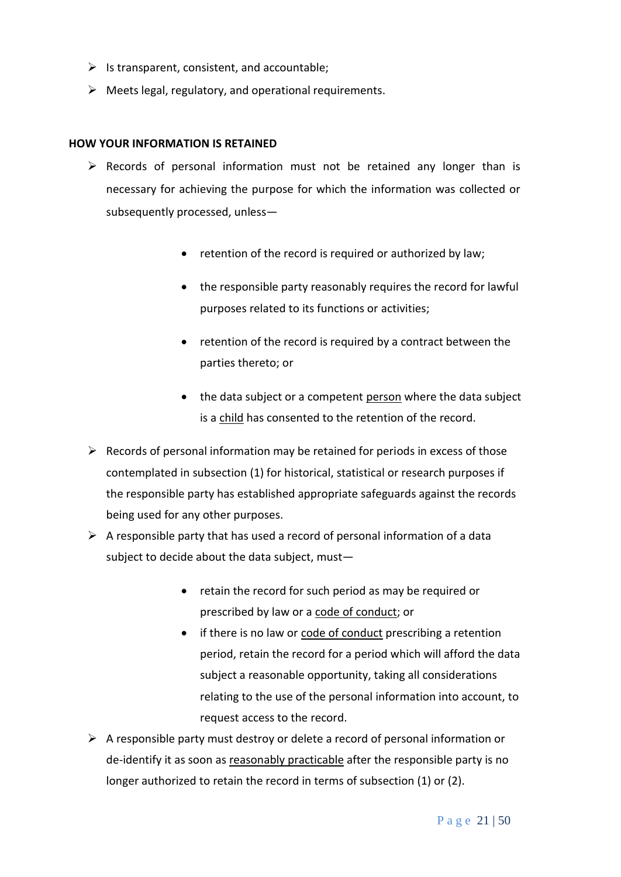- $\triangleright$  Is transparent, consistent, and accountable;
- ➢ Meets legal, regulatory, and operational requirements.

#### **HOW YOUR INFORMATION IS RETAINED**

- $\triangleright$  Records of personal information must not be retained any longer than is necessary for achieving the purpose for which the information was collected or subsequently processed, unless—
	- retention of the record is required or authorized by law;
	- the responsible party reasonably requires the record for lawful purposes related to its functions or activities;
	- retention of the record is required by a contract between the parties thereto; or
	- the data subject or a competent [person](https://popia.co.za/section-1-definitions/) where the data subject is a [child](https://popia.co.za/section-1-definitions/) has consented to the retention of the record.
- $\triangleright$  Records of personal information may be retained for periods in excess of those contemplated in subsection (1) for historical, statistical or research purposes if the responsible party has established appropriate safeguards against the records being used for any other purposes.
- $\triangleright$  A responsible party that has used a record of personal information of a data subject to decide about the data subject, must—
	- retain the record for such period as may be required or prescribed by law or a code of [conduct;](https://popia.co.za/protection-of-personal-information-act-popia/chapter-7/) or
	- if there is no law or code of [conduct](https://popia.co.za/protection-of-personal-information-act-popia/chapter-7/) prescribing a retention period, retain the record for a period which will afford the data subject a reasonable opportunity, taking all considerations relating to the use of the personal information into account, to request access to the record.
- $\triangleright$  A responsible party must destroy or delete a record of personal information or de-identify it as soon as reasonably [practicable](https://www.michalsons.com/blog/reasonably-practicable-to-comply-with-popi/13296) after the responsible party is no longer authorized to retain the record in terms of subsection (1) or (2).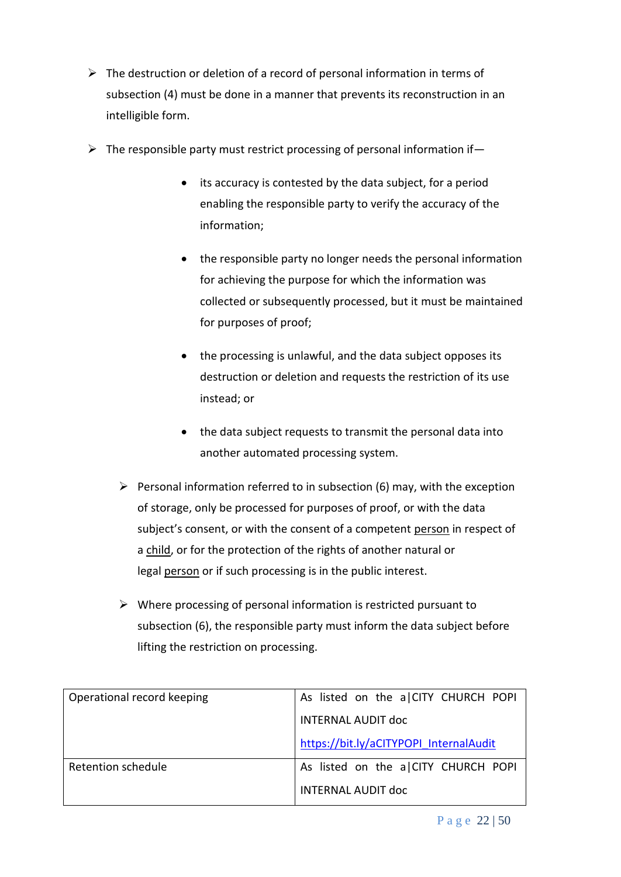- $\triangleright$  The destruction or deletion of a record of personal information in terms of subsection (4) must be done in a manner that prevents its reconstruction in an intelligible form.
- $\triangleright$  The responsible party must restrict processing of personal information if -
	- its accuracy is contested by the data subject, for a period enabling the responsible party to verify the accuracy of the information;
	- the responsible party no longer needs the personal information for achieving the purpose for which the information was collected or subsequently processed, but it must be maintained for purposes of proof;
	- the processing is unlawful, and the data subject opposes its destruction or deletion and requests the restriction of its use instead; or
	- the data subject requests to transmit the personal data into another automated processing system.
	- $\triangleright$  Personal information referred to in subsection (6) may, with the exception of storage, only be processed for purposes of proof, or with the data subject's consent, or with the consent of a competent [person](https://popia.co.za/section-1-definitions/) in respect of a [child,](https://popia.co.za/section-1-definitions/) or for the protection of the rights of another natural or legal [person](https://popia.co.za/section-1-definitions/) or if such processing is in the public interest.
	- $\triangleright$  Where processing of personal information is restricted pursuant to subsection (6), the responsible party must inform the data subject before lifting the restriction on processing.

| Operational record keeping | As listed on the a CITY CHURCH POPI    |
|----------------------------|----------------------------------------|
|                            | <b>INTERNAL AUDIT doc</b>              |
|                            | https://bit.ly/aCITYPOPI InternalAudit |
| Retention schedule         | As listed on the a CITY CHURCH POPI    |
|                            | <b>INTERNAL AUDIT doc</b>              |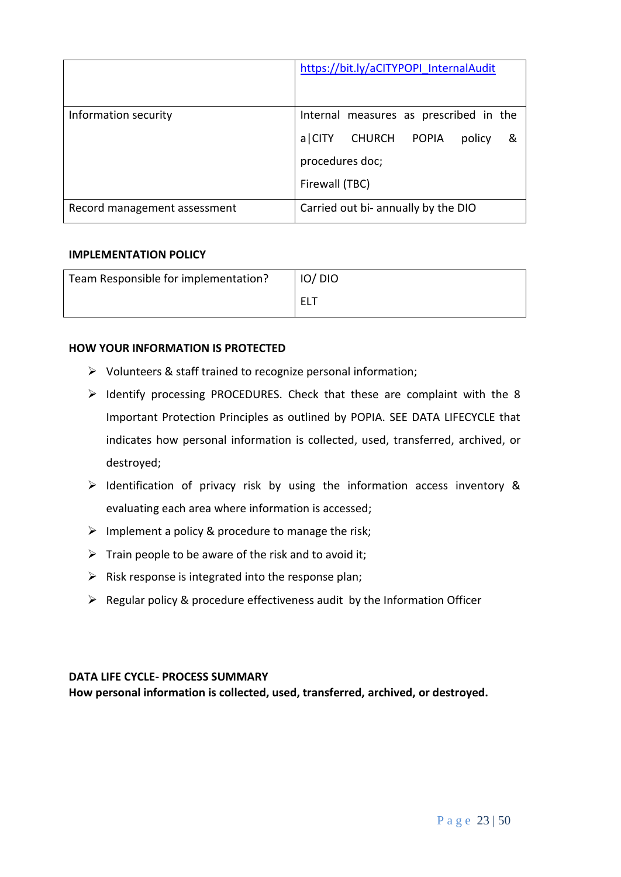|                              | https://bit.ly/aCITYPOPI InternalAudit |
|------------------------------|----------------------------------------|
| Information security         | Internal measures as prescribed in the |
|                              | a CITY CHURCH POPIA<br>policy<br>- &   |
|                              | procedures doc;                        |
|                              | Firewall (TBC)                         |
| Record management assessment | Carried out bi- annually by the DIO    |

## **IMPLEMENTATION POLICY**

| Team Responsible for implementation? | IO/DIO |
|--------------------------------------|--------|
|                                      | ELT    |

## **HOW YOUR INFORMATION IS PROTECTED**

- ➢ Volunteers & staff trained to recognize personal information;
- ➢ Identify processing PROCEDURES. Check that these are complaint with the 8 Important Protection Principles as outlined by POPIA. SEE DATA LIFECYCLE that indicates how personal information is collected, used, transferred, archived, or destroyed;
- ➢ Identification of privacy risk by using the information access inventory & evaluating each area where information is accessed;
- $\triangleright$  Implement a policy & procedure to manage the risk;
- $\triangleright$  Train people to be aware of the risk and to avoid it;
- $\triangleright$  Risk response is integrated into the response plan;
- ➢ Regular policy & procedure effectiveness audit by the Information Officer

## **DATA LIFE CYCLE- PROCESS SUMMARY**

**How personal information is collected, used, transferred, archived, or destroyed.**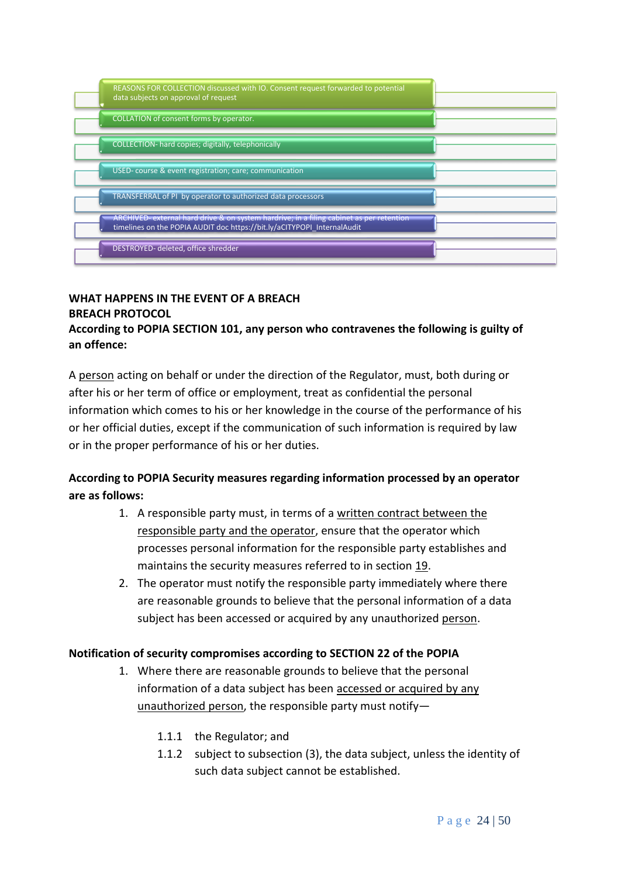| REASONS FOR COLLECTION discussed with IO. Consent request forwarded to potential<br>data subjects on approval of request                                            |  |
|---------------------------------------------------------------------------------------------------------------------------------------------------------------------|--|
| COLLATION of consent forms by operator.                                                                                                                             |  |
| COLLECTION- hard copies; digitally, telephonically                                                                                                                  |  |
| USED-course & event registration; care; communication                                                                                                               |  |
| TRANSFERRAL of PI by operator to authorized data processors                                                                                                         |  |
| ARCHIVED- external hard drive & on system hardrive; in a filing cabinet as per retention<br>timelines on the POPIA AUDIT doc https://bit.ly/aCITYPOPI InternalAudit |  |
| DESTROYED- deleted, office shredder                                                                                                                                 |  |

## **WHAT HAPPENS IN THE EVENT OF A BREACH BREACH PROTOCOL**

## **According to POPIA SECTION 101, any person who contravenes the following is guilty of an offence:**

A [person](https://popia.co.za/section-1-definitions/) acting on behalf or under the direction of the Regulator, must, both during or after his or her term of office or employment, treat as confidential the personal information which comes to his or her knowledge in the course of the performance of his or her official duties, except if the communication of such information is required by law or in the proper performance of his or her duties.

# **According to POPIA Security measures regarding information processed by an operator are as follows:**

- 1. A responsible party must, in terms of a written contract [between](https://www.michalsons.com/focus-areas/privacy-and-data-protection/does-someone-else-process-your-personal-information) the [responsible](https://www.michalsons.com/focus-areas/privacy-and-data-protection/does-someone-else-process-your-personal-information) party and the operator, ensure that the operator which processes personal information for the responsible party establishes and maintains the security measures referred to in section [19.](https://popia.co.za/section-19-security-measures-on-integrity-and-confidentiality-of-personal-information/)
- 2. The operator must notify the responsible party immediately where there are reasonable grounds to believe that the personal information of a data subject has been accessed or acquired by any unauthorized [person.](https://popia.co.za/section-1-definitions/)

# **Notification of security compromises according to SECTION 22 of the POPIA**

- 1. Where there are reasonable grounds to believe that the personal information of a data subject has been [accessed](https://www.michalsons.com/focus-areas/privacy-and-data-protection/incident-response/incident-response-policy) or acquired by any [unauthorized](https://www.michalsons.com/focus-areas/privacy-and-data-protection/incident-response/incident-response-policy) person, the responsible party must notify—
	- 1.1.1 the Regulator; and
	- 1.1.2 subject to subsection (3), the data subject, unless the identity of such data subject cannot be established.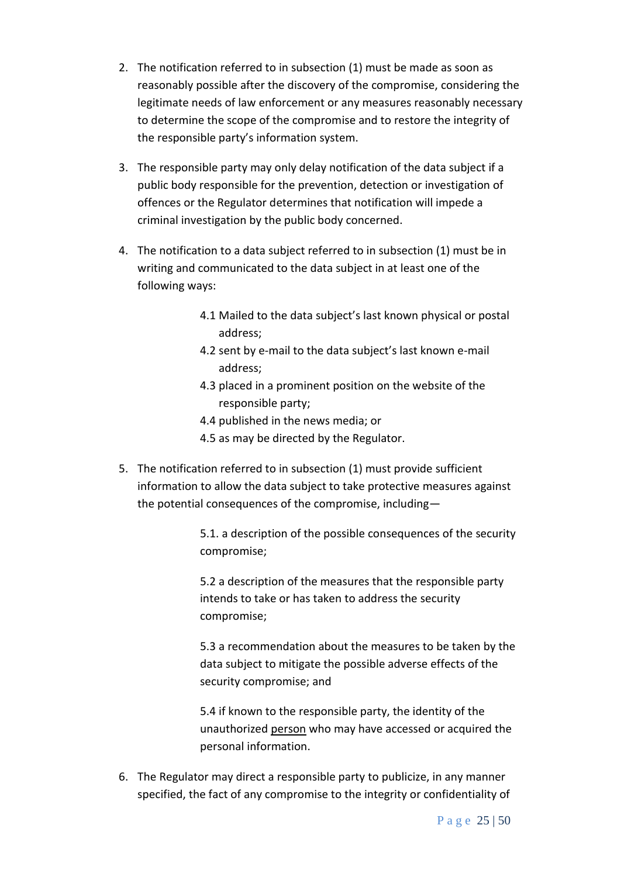- 2. The notification referred to in subsection (1) must be made as soon as reasonably possible after the discovery of the compromise, considering the legitimate needs of law enforcement or any measures reasonably necessary to determine the scope of the compromise and to restore the integrity of the responsible party's information system.
- 3. The responsible party may only delay notification of the data subject if a public body responsible for the prevention, detection or investigation of offences or the Regulator determines that notification will impede a criminal investigation by the public body concerned.
- 4. The notification to a data subject referred to in subsection (1) must be in writing and communicated to the data subject in at least one of the following ways:
	- 4.1 Mailed to the data subject's last known physical or postal address;
	- 4.2 sent by e-mail to the data subject's last known e-mail address;
	- 4.3 placed in a prominent position on the website of the responsible party;
	- 4.4 published in the news media; or
	- 4.5 as may be directed by the Regulator.
- 5. The notification referred to in subsection (1) must provide sufficient information to allow the data subject to take protective measures against the potential consequences of the compromise, including—

5.1. a description of the possible consequences of the security compromise;

5.2 a description of the measures that the responsible party intends to take or has taken to address the security compromise;

5.3 a recommendation about the measures to be taken by the data subject to mitigate the possible adverse effects of the security compromise; and

5.4 if known to the responsible party, the identity of the unauthorized [person](https://popia.co.za/section-1-definitions/) who may have accessed or acquired the personal information.

6. The Regulator may direct a responsible party to publicize, in any manner specified, the fact of any compromise to the integrity or confidentiality of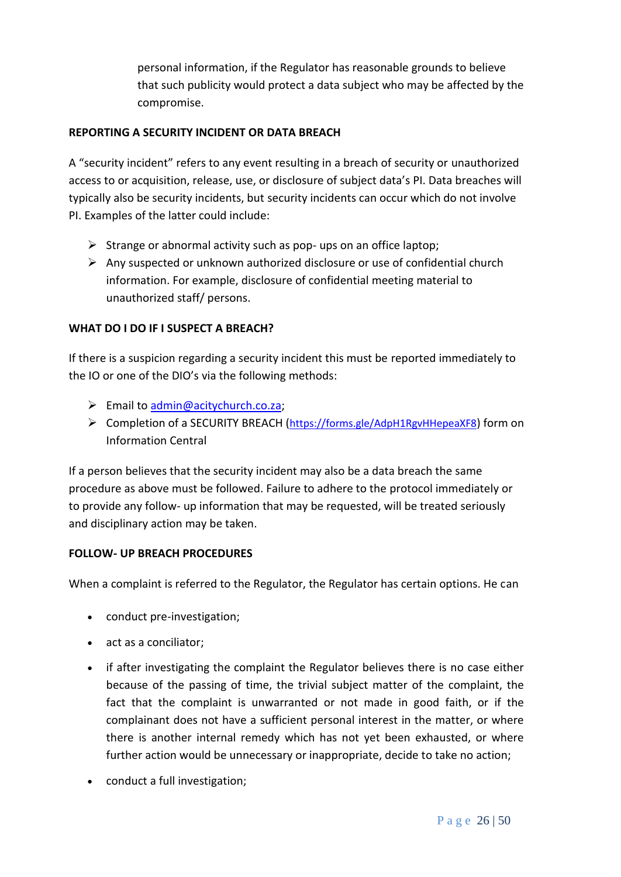personal information, if the Regulator has reasonable grounds to believe that such publicity would protect a data subject who may be affected by the compromise.

## **REPORTING A SECURITY INCIDENT OR DATA BREACH**

A "security incident" refers to any event resulting in a breach of security or unauthorized access to or acquisition, release, use, or disclosure of subject data's PI. Data breaches will typically also be security incidents, but security incidents can occur which do not involve PI. Examples of the latter could include:

- $\triangleright$  Strange or abnormal activity such as pop- ups on an office laptop;
- $\triangleright$  Any suspected or unknown authorized disclosure or use of confidential church information. For example, disclosure of confidential meeting material to unauthorized staff/ persons.

## **WHAT DO I DO IF I SUSPECT A BREACH?**

If there is a suspicion regarding a security incident this must be reported immediately to the IO or one of the DIO's via the following methods:

- ➢ Email to [admin@acitychurch.co.za;](mailto:admin@acitychurch.co.za)
- ➢ Completion of a SECURITY BREACH (<https://forms.gle/AdpH1RgvHHepeaXF8>) form on Information Central

If a person believes that the security incident may also be a data breach the same procedure as above must be followed. Failure to adhere to the protocol immediately or to provide any follow- up information that may be requested, will be treated seriously and disciplinary action may be taken.

# **FOLLOW- UP BREACH PROCEDURES**

When a complaint is referred to the Regulator, the Regulator has certain options. He can

- conduct pre-investigation;
- act as a conciliator;
- if after investigating the complaint the Regulator believes there is no case either because of the passing of time, the trivial subject matter of the complaint, the fact that the complaint is unwarranted or not made in good faith, or if the complainant does not have a sufficient personal interest in the matter, or where there is another internal remedy which has not yet been exhausted, or where further action would be unnecessary or inappropriate, decide to take no action;
- conduct a full investigation;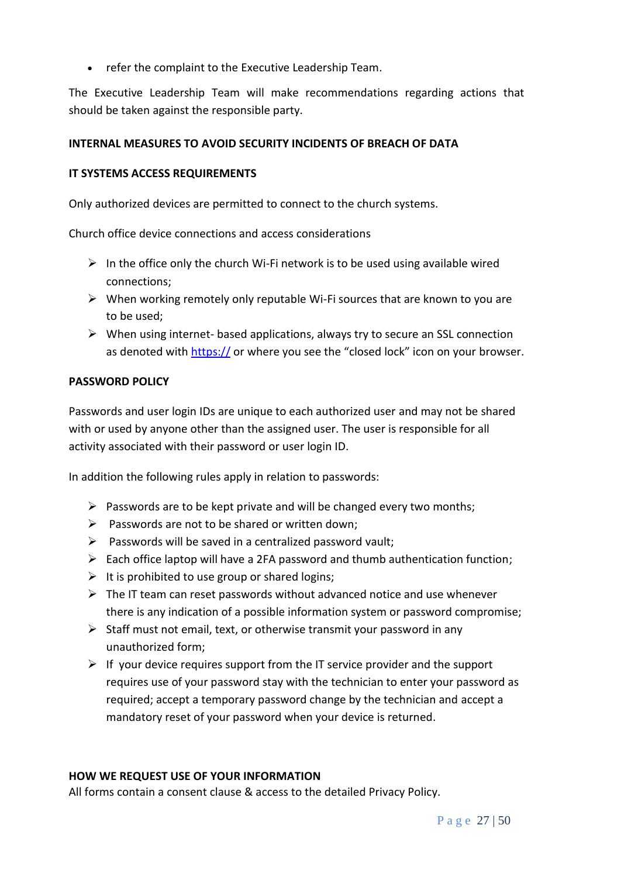• refer the complaint to the Executive Leadership Team.

The Executive Leadership Team will make recommendations regarding actions that should be taken against the responsible party.

## **INTERNAL MEASURES TO AVOID SECURITY INCIDENTS OF BREACH OF DATA**

## **IT SYSTEMS ACCESS REQUIREMENTS**

Only authorized devices are permitted to connect to the church systems.

Church office device connections and access considerations

- $\triangleright$  In the office only the church Wi-Fi network is to be used using available wired connections;
- $\triangleright$  When working remotely only reputable Wi-Fi sources that are known to you are to be used;
- $\triangleright$  When using internet- based applications, always try to secure an SSL connection as denoted with https:// or where you see the "closed lock" icon on your browser.

## **PASSWORD POLICY**

Passwords and user login IDs are unique to each authorized user and may not be shared with or used by anyone other than the assigned user. The user is responsible for all activity associated with their password or user login ID.

In addition the following rules apply in relation to passwords:

- $\triangleright$  Passwords are to be kept private and will be changed every two months;
- $\triangleright$  Passwords are not to be shared or written down;
- $\triangleright$  Passwords will be saved in a centralized password vault;
- $\triangleright$  Each office laptop will have a 2FA password and thumb authentication function;
- $\triangleright$  It is prohibited to use group or shared logins;
- $\triangleright$  The IT team can reset passwords without advanced notice and use whenever there is any indication of a possible information system or password compromise;
- $\triangleright$  Staff must not email, text, or otherwise transmit your password in any unauthorized form;
- $\triangleright$  If your device requires support from the IT service provider and the support requires use of your password stay with the technician to enter your password as required; accept a temporary password change by the technician and accept a mandatory reset of your password when your device is returned.

## **HOW WE REQUEST USE OF YOUR INFORMATION**

All forms contain a consent clause & access to the detailed Privacy Policy.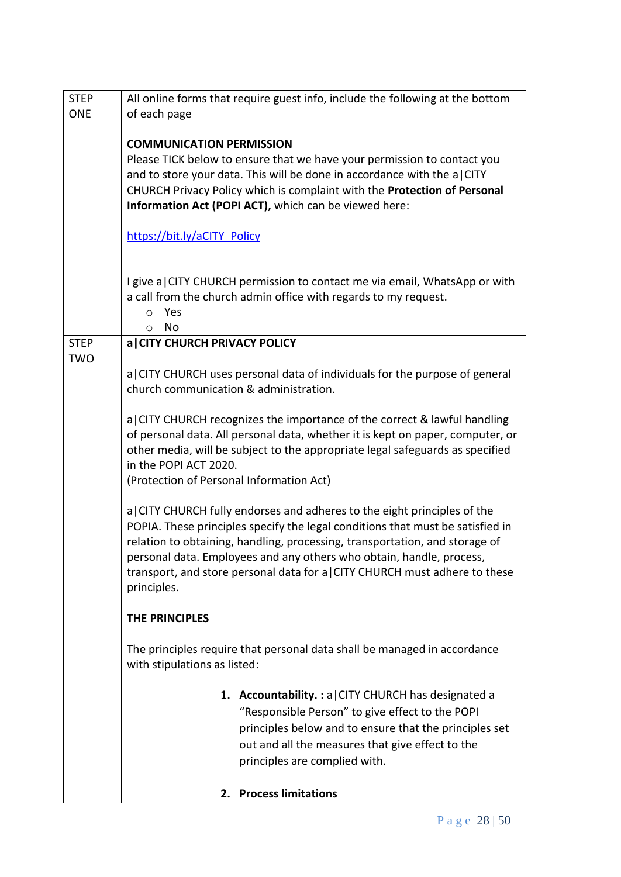| <b>STEP</b><br><b>ONE</b> | All online forms that require guest info, include the following at the bottom<br>of each page                                                                                                                                                                                                                                                                                                                |  |  |
|---------------------------|--------------------------------------------------------------------------------------------------------------------------------------------------------------------------------------------------------------------------------------------------------------------------------------------------------------------------------------------------------------------------------------------------------------|--|--|
|                           | <b>COMMUNICATION PERMISSION</b><br>Please TICK below to ensure that we have your permission to contact you<br>and to store your data. This will be done in accordance with the a CITY<br>CHURCH Privacy Policy which is complaint with the Protection of Personal<br>Information Act (POPI ACT), which can be viewed here:                                                                                   |  |  |
|                           | https://bit.ly/aCITY Policy                                                                                                                                                                                                                                                                                                                                                                                  |  |  |
|                           | I give a CITY CHURCH permission to contact me via email, WhatsApp or with<br>a call from the church admin office with regards to my request.<br>Yes<br>O<br>No<br>O                                                                                                                                                                                                                                          |  |  |
| <b>STEP</b>               | a CITY CHURCH PRIVACY POLICY                                                                                                                                                                                                                                                                                                                                                                                 |  |  |
| <b>TWO</b>                | a CITY CHURCH uses personal data of individuals for the purpose of general<br>church communication & administration.                                                                                                                                                                                                                                                                                         |  |  |
|                           | a CITY CHURCH recognizes the importance of the correct & lawful handling<br>of personal data. All personal data, whether it is kept on paper, computer, or<br>other media, will be subject to the appropriate legal safeguards as specified<br>in the POPI ACT 2020.<br>(Protection of Personal Information Act)                                                                                             |  |  |
|                           | a CITY CHURCH fully endorses and adheres to the eight principles of the<br>POPIA. These principles specify the legal conditions that must be satisfied in<br>relation to obtaining, handling, processing, transportation, and storage of<br>personal data. Employees and any others who obtain, handle, process,<br>transport, and store personal data for a CITY CHURCH must adhere to these<br>principles. |  |  |
|                           | <b>THE PRINCIPLES</b>                                                                                                                                                                                                                                                                                                                                                                                        |  |  |
|                           | The principles require that personal data shall be managed in accordance<br>with stipulations as listed:                                                                                                                                                                                                                                                                                                     |  |  |
|                           | 1. Accountability.: a CITY CHURCH has designated a<br>"Responsible Person" to give effect to the POPI<br>principles below and to ensure that the principles set<br>out and all the measures that give effect to the<br>principles are complied with.                                                                                                                                                         |  |  |
|                           | <b>Process limitations</b><br>2.                                                                                                                                                                                                                                                                                                                                                                             |  |  |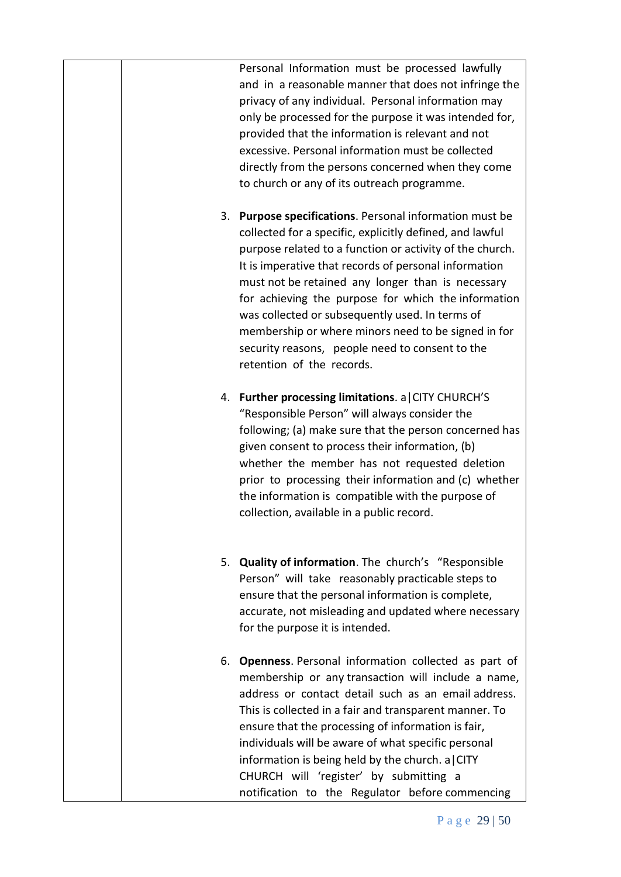|  | Personal Information must be processed lawfully<br>and in a reasonable manner that does not infringe the<br>privacy of any individual. Personal information may<br>only be processed for the purpose it was intended for,<br>provided that the information is relevant and not<br>excessive. Personal information must be collected<br>directly from the persons concerned when they come<br>to church or any of its outreach programme.                                                                                                       |
|--|------------------------------------------------------------------------------------------------------------------------------------------------------------------------------------------------------------------------------------------------------------------------------------------------------------------------------------------------------------------------------------------------------------------------------------------------------------------------------------------------------------------------------------------------|
|  | 3. Purpose specifications. Personal information must be<br>collected for a specific, explicitly defined, and lawful<br>purpose related to a function or activity of the church.<br>It is imperative that records of personal information<br>must not be retained any longer than is necessary<br>for achieving the purpose for which the information<br>was collected or subsequently used. In terms of<br>membership or where minors need to be signed in for<br>security reasons, people need to consent to the<br>retention of the records. |
|  | 4. Further processing limitations. a CITY CHURCH'S<br>"Responsible Person" will always consider the<br>following; (a) make sure that the person concerned has<br>given consent to process their information, (b)<br>whether the member has not requested deletion<br>prior to processing their information and (c) whether<br>the information is compatible with the purpose of<br>collection, available in a public record.                                                                                                                   |
|  | 5. Quality of information. The church's "Responsible<br>Person" will take reasonably practicable steps to<br>ensure that the personal information is complete,<br>accurate, not misleading and updated where necessary<br>for the purpose it is intended.                                                                                                                                                                                                                                                                                      |
|  | 6. Openness. Personal information collected as part of<br>membership or any transaction will include a name,<br>address or contact detail such as an email address.<br>This is collected in a fair and transparent manner. To<br>ensure that the processing of information is fair,<br>individuals will be aware of what specific personal<br>information is being held by the church. a $CITY$<br>CHURCH will 'register' by submitting a<br>notification to the Regulator before commencing                                                   |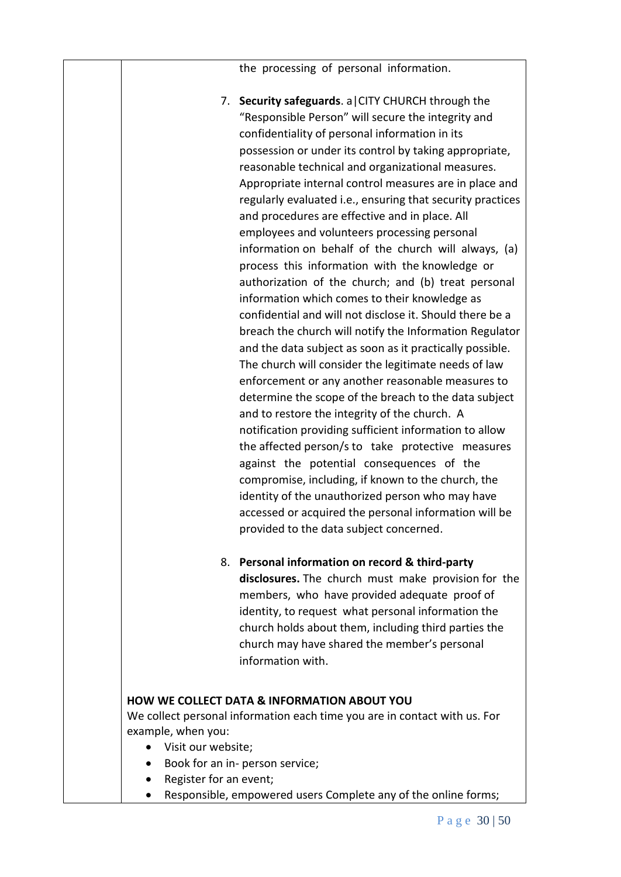the processing of personal information.

7. **Security safeguards**. a|CITY CHURCH through the "Responsible Person" will secure the integrity and confidentiality of personal information in its possession or under its control by taking appropriate, reasonable technical and organizational measures. Appropriate internal control measures are in place and regularly evaluated i.e., ensuring that security practices and procedures are effective and in place. All employees and volunteers processing personal information on behalf of the church will always, (a) process this information with the knowledge or authorization of the church; and (b) treat personal information which comes to their knowledge as confidential and will not disclose it. Should there be a breach the church will notify the Information Regulator and the data subject as soon as it practically possible. The church will consider the legitimate needs of law enforcement or any another reasonable measures to determine the scope of the breach to the data subject and to restore the integrity of the church. A notification providing sufficient information to allow the affected person/s to take protective measures against the potential consequences of the compromise, including, if known to the church, the identity of the unauthorized person who may have accessed or acquired the personal information will be provided to the data subject concerned. 8. **Personal information on record & third-party disclosures.** The church must make provision for the members, who have provided adequate proof of identity, to request what personal information the church holds about them, including third parties the church may have shared the member's personal information with.

# **HOW WE COLLECT DATA & INFORMATION ABOUT YOU** We collect personal information each time you are in contact with us. For

- example, when you:
	- Visit our website;
	- Book for an in- person service;
	- Register for an event;
	- Responsible, empowered users Complete any of the online forms;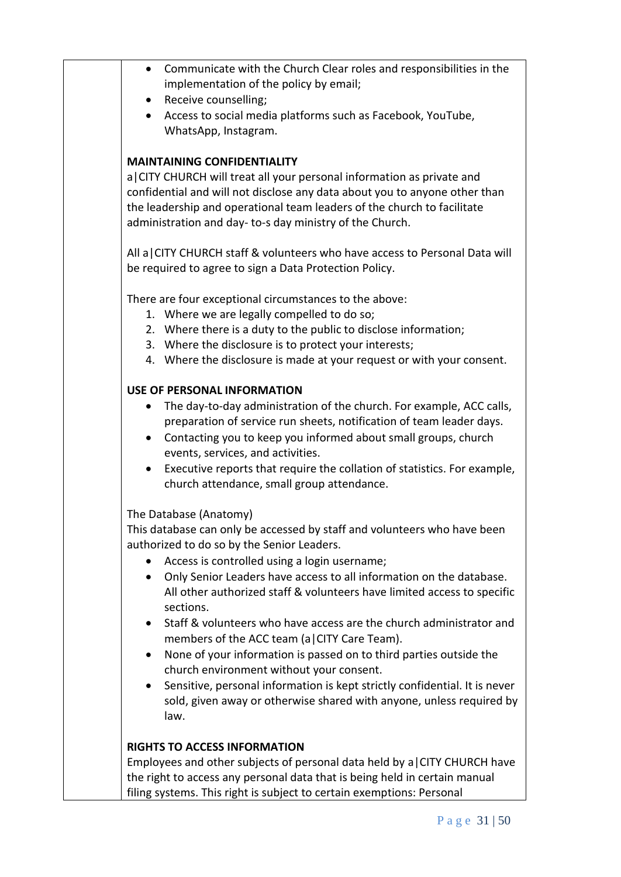| $\bullet$ | Communicate with the Church Clear roles and responsibilities in the<br>implementation of the policy by email;      |
|-----------|--------------------------------------------------------------------------------------------------------------------|
|           | • Receive counselling;                                                                                             |
|           | Access to social media platforms such as Facebook, YouTube,                                                        |
|           | WhatsApp, Instagram.                                                                                               |
|           |                                                                                                                    |
|           | <b>MAINTAINING CONFIDENTIALITY</b>                                                                                 |
|           | a CITY CHURCH will treat all your personal information as private and                                              |
|           | confidential and will not disclose any data about you to anyone other than                                         |
|           | the leadership and operational team leaders of the church to facilitate                                            |
|           | administration and day-to-s day ministry of the Church.                                                            |
|           | All a CITY CHURCH staff & volunteers who have access to Personal Data will                                         |
|           | be required to agree to sign a Data Protection Policy.                                                             |
|           | There are four exceptional circumstances to the above:                                                             |
|           | 1. Where we are legally compelled to do so;                                                                        |
|           | 2. Where there is a duty to the public to disclose information;                                                    |
|           | 3. Where the disclosure is to protect your interests;                                                              |
|           | 4. Where the disclosure is made at your request or with your consent.                                              |
|           | <b>USE OF PERSONAL INFORMATION</b>                                                                                 |
| $\bullet$ | The day-to-day administration of the church. For example, ACC calls,                                               |
|           | preparation of service run sheets, notification of team leader days.                                               |
| $\bullet$ | Contacting you to keep you informed about small groups, church                                                     |
|           | events, services, and activities.                                                                                  |
| $\bullet$ | Executive reports that require the collation of statistics. For example,                                           |
|           | church attendance, small group attendance.                                                                         |
|           | The Database (Anatomy)                                                                                             |
|           | This database can only be accessed by staff and volunteers who have been                                           |
|           | authorized to do so by the Senior Leaders.                                                                         |
|           | Access is controlled using a login username;                                                                       |
| $\bullet$ | Only Senior Leaders have access to all information on the database.                                                |
|           | All other authorized staff & volunteers have limited access to specific                                            |
|           | sections.                                                                                                          |
| $\bullet$ | Staff & volunteers who have access are the church administrator and<br>members of the ACC team (a CITY Care Team). |
| ٠         | None of your information is passed on to third parties outside the                                                 |
|           | church environment without your consent.                                                                           |
| ٠         | Sensitive, personal information is kept strictly confidential. It is never                                         |
|           | sold, given away or otherwise shared with anyone, unless required by                                               |
|           | law.                                                                                                               |
|           | <b>RIGHTS TO ACCESS INFORMATION</b>                                                                                |
|           | Employees and other subjects of personal data held by a CITY CHURCH have                                           |
|           | the right to access any personal data that is being held in certain manual                                         |
|           | filing systems. This right is subject to certain exemptions: Personal                                              |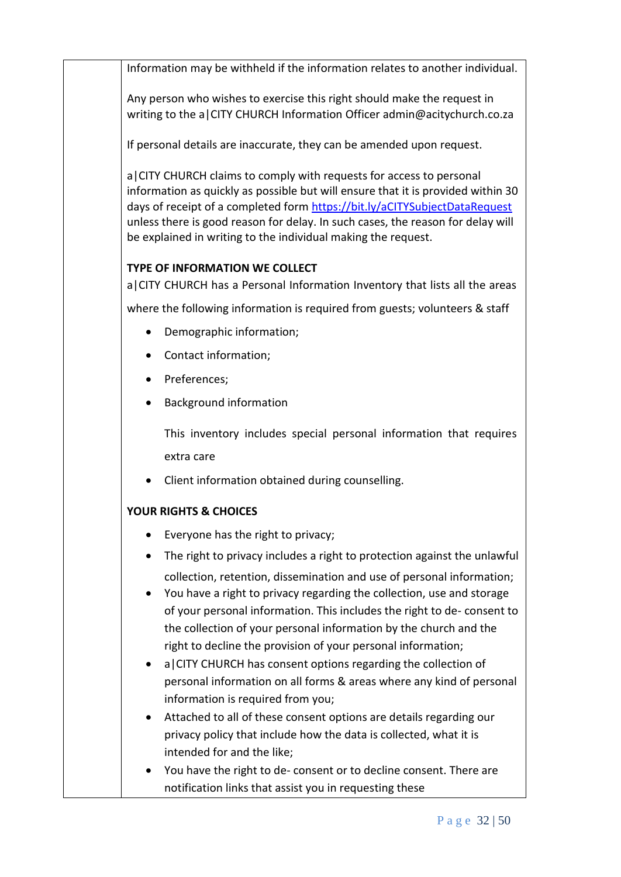Information may be withheld if the information relates to another individual.

Any person who wishes to exercise this right should make the request in writing to the a CITY CHURCH Information Officer admin@acitychurch.co.za

If personal details are inaccurate, they can be amended upon request.

a|CITY CHURCH claims to comply with requests for access to personal information as quickly as possible but will ensure that it is provided within 30 days of receipt of a completed form <https://bit.ly/aCITYSubjectDataRequest> unless there is good reason for delay. In such cases, the reason for delay will be explained in writing to the individual making the request.

# **TYPE OF INFORMATION WE COLLECT**

a|CITY CHURCH has a Personal Information Inventory that lists all the areas

where the following information is required from guests; volunteers & staff

- Demographic information;
- Contact information;
- Preferences;
- Background information

This inventory includes special personal information that requires extra care

• Client information obtained during counselling.

# **YOUR RIGHTS & CHOICES**

- Everyone has the right to privacy;
- The right to privacy includes a right to protection against the unlawful collection, retention, dissemination and use of personal information;
- You have a right to privacy regarding the collection, use and storage of your personal information. This includes the right to de- consent to the collection of your personal information by the church and the right to decline the provision of your personal information;
- a|CITY CHURCH has consent options regarding the collection of personal information on all forms & areas where any kind of personal information is required from you;
- Attached to all of these consent options are details regarding our privacy policy that include how the data is collected, what it is intended for and the like;
- You have the right to de- consent or to decline consent. There are notification links that assist you in requesting these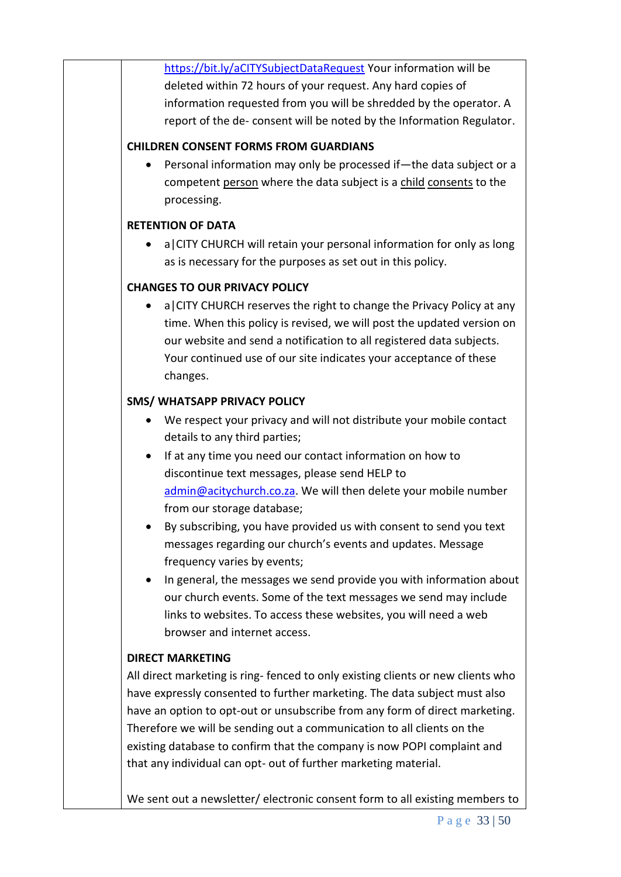<https://bit.ly/aCITYSubjectDataRequest> Your information will be deleted within 72 hours of your request. Any hard copies of information requested from you will be shredded by the operator. A report of the de- consent will be noted by the Information Regulator.

# **CHILDREN CONSENT FORMS FROM GUARDIANS**

• Personal information may only be processed if—the data subject or a competent [person](https://popia.co.za/section-1-definitions/) where the data subject is a [child](https://popia.co.za/section-1-definitions/) [consents](https://www.michalsons.com/blog/consent-popi-and-other-legal-requirements/12623) to the processing.

# **RETENTION OF DATA**

• a|CITY CHURCH will retain your personal information for only as long as is necessary for the purposes as set out in this policy.

# **CHANGES TO OUR PRIVACY POLICY**

• a|CITY CHURCH reserves the right to change the Privacy Policy at any time. When this policy is revised, we will post the updated version on our website and send a notification to all registered data subjects. Your continued use of our site indicates your acceptance of these changes.

# **SMS/ WHATSAPP PRIVACY POLICY**

- We respect your privacy and will not distribute your mobile contact details to any third parties;
- If at any time you need our contact information on how to discontinue text messages, please send HELP to [admin@acitychurch.co.za.](mailto:admin@acitychurch.co.za) We will then delete your mobile number from our storage database;
- By subscribing, you have provided us with consent to send you text messages regarding our church's events and updates. Message frequency varies by events;
- In general, the messages we send provide you with information about our church events. Some of the text messages we send may include links to websites. To access these websites, you will need a web browser and internet access.

# **DIRECT MARKETING**

All direct marketing is ring- fenced to only existing clients or new clients who have expressly consented to further marketing. The data subject must also have an option to opt-out or unsubscribe from any form of direct marketing. Therefore we will be sending out a communication to all clients on the existing database to confirm that the company is now POPI complaint and that any individual can opt- out of further marketing material.

We sent out a newsletter/ electronic consent form to all existing members to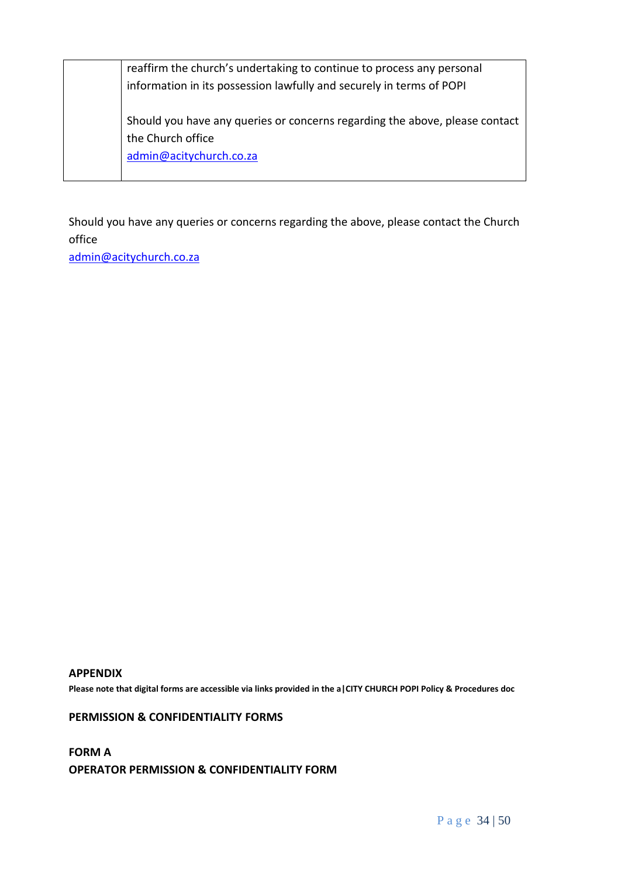| reaffirm the church's undertaking to continue to process any personal       |
|-----------------------------------------------------------------------------|
| information in its possession lawfully and securely in terms of POPI        |
|                                                                             |
| Should you have any queries or concerns regarding the above, please contact |
| the Church office                                                           |
| admin@acitychurch.co.za                                                     |
|                                                                             |

Should you have any queries or concerns regarding the above, please contact the Church office

[admin@acitychurch.co.za](mailto:admin@acitychurch.co.za)

#### **APPENDIX**

**Please note that digital forms are accessible via links provided in the a|CITY CHURCH POPI Policy & Procedures doc**

#### **PERMISSION & CONFIDENTIALITY FORMS**

**FORM A OPERATOR PERMISSION & CONFIDENTIALITY FORM**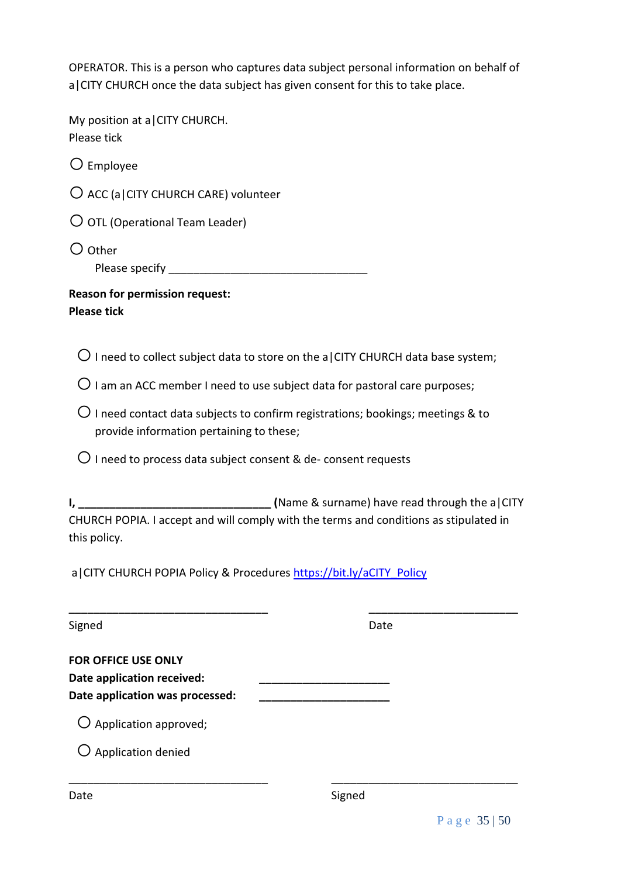OPERATOR. This is a person who captures data subject personal information on behalf of a|CITY CHURCH once the data subject has given consent for this to take place.

| My position at a CITY CHURCH.<br>Please tick                            |                                                                                           |
|-------------------------------------------------------------------------|-------------------------------------------------------------------------------------------|
| $\bigcirc$ Employee                                                     |                                                                                           |
| $\bigcirc$ ACC (a   CITY CHURCH CARE) volunteer                         |                                                                                           |
| $\bigcirc$ OTL (Operational Team Leader)                                |                                                                                           |
| $\bigcirc$ Other                                                        |                                                                                           |
| <b>Reason for permission request:</b><br><b>Please tick</b>             |                                                                                           |
|                                                                         | $\bigcirc$ I need to collect subject data to store on the a CITY CHURCH data base system; |
|                                                                         | $\bigcirc$ I am an ACC member I need to use subject data for pastoral care purposes;      |
| provide information pertaining to these;                                | $\bigcirc$ I need contact data subjects to confirm registrations; bookings; meetings & to |
| $\bigcirc$ I need to process data subject consent & de-consent requests |                                                                                           |
| this policy.                                                            | CHURCH POPIA. I accept and will comply with the terms and conditions as stipulated in     |
| a   CITY CHURCH POPIA Policy & Procedures https://bit.ly/aCITY Policy   |                                                                                           |
| Signed                                                                  | Date                                                                                      |
| <b>FOR OFFICE USE ONLY</b>                                              |                                                                                           |
| Date application received:                                              |                                                                                           |
| Date application was processed:                                         |                                                                                           |
| $\bigcirc$ Application approved;                                        |                                                                                           |
| $\bigcirc$ Application denied                                           |                                                                                           |
| Date                                                                    | Signed                                                                                    |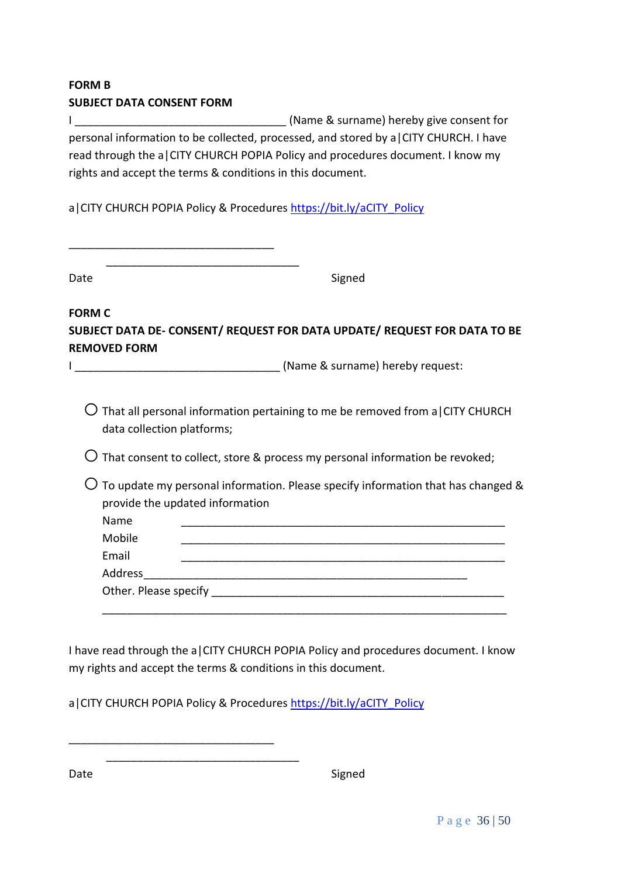# **FORM B SUBJECT DATA CONSENT FORM**

I and the surface of  $\sim$  (Name & surname) hereby give consent for personal information to be collected, processed, and stored by a|CITY CHURCH. I have read through the a|CITY CHURCH POPIA Policy and procedures document. I know my rights and accept the terms & conditions in this document.

a|CITY CHURCH POPIA Policy & Procedures [https://bit.ly/aCITY\\_Policy](https://bit.ly/aCITY_Policy)

|  |  | المراسم المراسات المراسين المراسات المراسة المراسة المراسة المراسة المراسة المراسات المراسة المراسة المراسة المراسة |  |
|--|--|---------------------------------------------------------------------------------------------------------------------|--|
|  |  |                                                                                                                     |  |
|  |  |                                                                                                                     |  |

\_\_\_\_\_\_\_\_\_\_\_\_\_\_\_\_\_\_\_\_\_\_\_\_\_\_\_\_\_\_\_\_\_

Date Signed

**FORM C SUBJECT DATA DE- CONSENT/ REQUEST FOR DATA UPDATE/ REQUEST FOR DATA TO BE REMOVED FORM**

I \_\_\_\_\_\_\_\_\_\_\_\_\_\_\_\_\_\_\_\_\_\_\_\_\_\_\_\_\_\_\_\_\_ (Name & surname) hereby request:

 $\bigcirc$  That all personal information pertaining to me be removed from a CITY CHURCH data collection platforms;

 $\overline{O}$  That consent to collect, store & process my personal information be revoked;

 $\bigcirc$  To update my personal information. Please specify information that has changed & provide the updated information

| Name                  |  |  |  |
|-----------------------|--|--|--|
| Mobile                |  |  |  |
| Email                 |  |  |  |
| Address               |  |  |  |
| Other. Please specify |  |  |  |
|                       |  |  |  |

I have read through the a|CITY CHURCH POPIA Policy and procedures document. I know my rights and accept the terms & conditions in this document.

a|CITY CHURCH POPIA Policy & Procedures [https://bit.ly/aCITY\\_Policy](https://bit.ly/aCITY_Policy)

\_\_\_\_\_\_\_\_\_\_\_\_\_\_\_\_\_\_\_\_\_\_\_\_\_\_\_\_\_\_\_\_\_

\_\_\_\_\_\_\_\_\_\_\_\_\_\_\_\_\_\_\_\_\_\_\_\_\_\_\_\_\_\_\_

Date Signed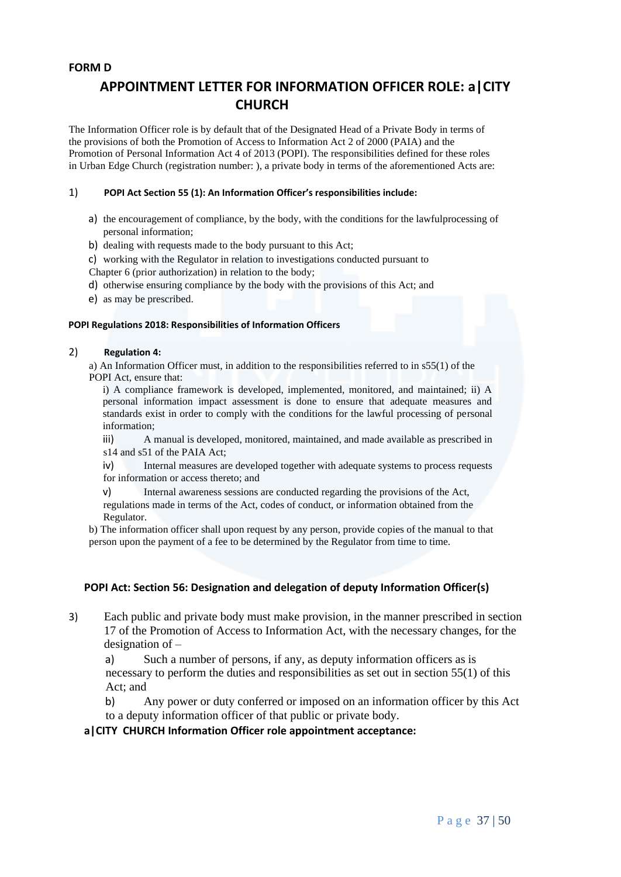#### **FORM D**

# **APPOINTMENT LETTER FOR INFORMATION OFFICER ROLE: a|CITY CHURCH**

The Information Officer role is by default that of the Designated Head of a Private Body in terms of the provisions of both the Promotion of Access to Information Act 2 of 2000 (PAIA) and the Promotion of Personal Information Act 4 of 2013 (POPI). The responsibilities defined for these roles in Urban Edge Church (registration number: ), a private body in terms of the aforementioned Acts are:

#### 1) **POPI Act Section 55 (1): An Information Officer's responsibilities include:**

- a) the encouragement of compliance, by the body, with the conditions for the lawfulprocessing of personal information;
- b) dealing with requests made to the body pursuant to this Act;
- c) working with the Regulator in relation to investigations conducted pursuant to

Chapter 6 (prior authorization) in relation to the body;

- d) otherwise ensuring compliance by the body with the provisions of this Act; and
- e) as may be prescribed.

#### **POPI Regulations 2018: Responsibilities of Information Officers**

#### 2) **Regulation 4:**

a) An Information Officer must, in addition to the responsibilities referred to in s55(1) of the POPI Act, ensure that:

i) A compliance framework is developed, implemented, monitored, and maintained; ii) A personal information impact assessment is done to ensure that adequate measures and standards exist in order to comply with the conditions for the lawful processing of personal information;

iii) A manual is developed, monitored, maintained, and made available as prescribed in s14 and s51 of the PAIA Act;

iv) Internal measures are developed together with adequate systems to process requests for information or access thereto; and

v) Internal awareness sessions are conducted regarding the provisions of the Act,

regulations made in terms of the Act, codes of conduct, or information obtained from the Regulator.

b) The information officer shall upon request by any person, provide copies of the manual to that person upon the payment of a fee to be determined by the Regulator from time to time.

## **POPI Act: Section 56: Designation and delegation of deputy Information Officer(s)**

3) Each public and private body must make provision, in the manner prescribed in section 17 of the Promotion of Access to Information Act, with the necessary changes, for the designation of –

a) Such a number of persons, if any, as deputy information officers as is necessary to perform the duties and responsibilities as set out in section 55(1) of this Act; and

b) Any power or duty conferred or imposed on an information officer by this Act to a deputy information officer of that public or private body.

#### **a|CITY CHURCH Information Officer role appointment acceptance:**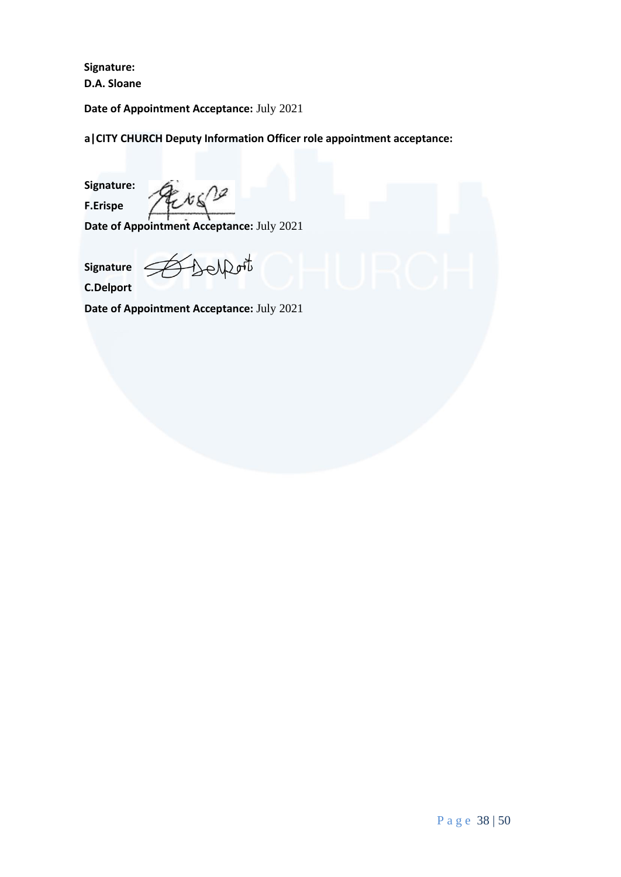**Signature: D.A. Sloane**

**Date of Appointment Acceptance:** July 2021

**a|CITY CHURCH Deputy Information Officer role appointment acceptance:**

**Signature: F.Erispe**

Etg2

**Date of Appointment Acceptance:** July 2021

**Signature C.Delport**

Escapot

**Date of Appointment Acceptance:** July 2021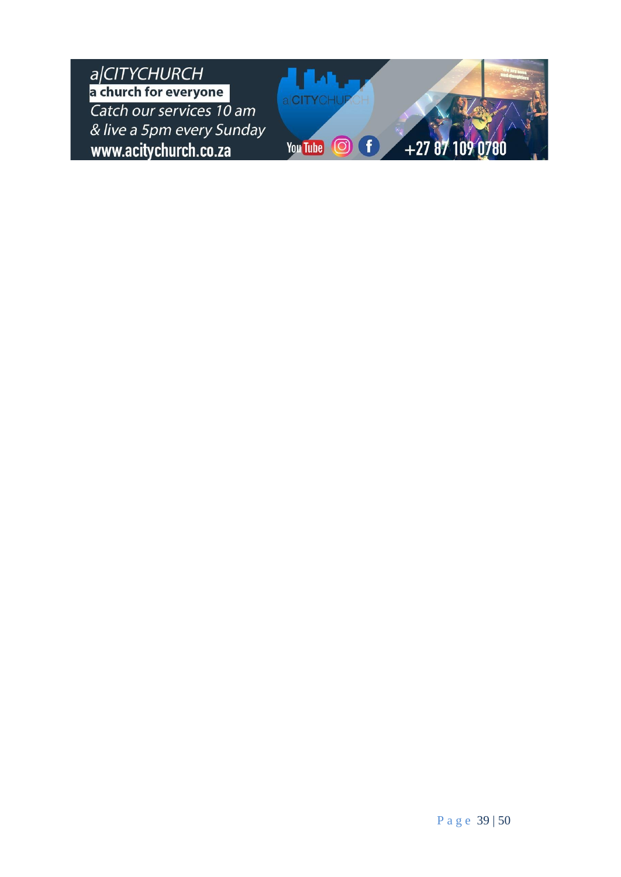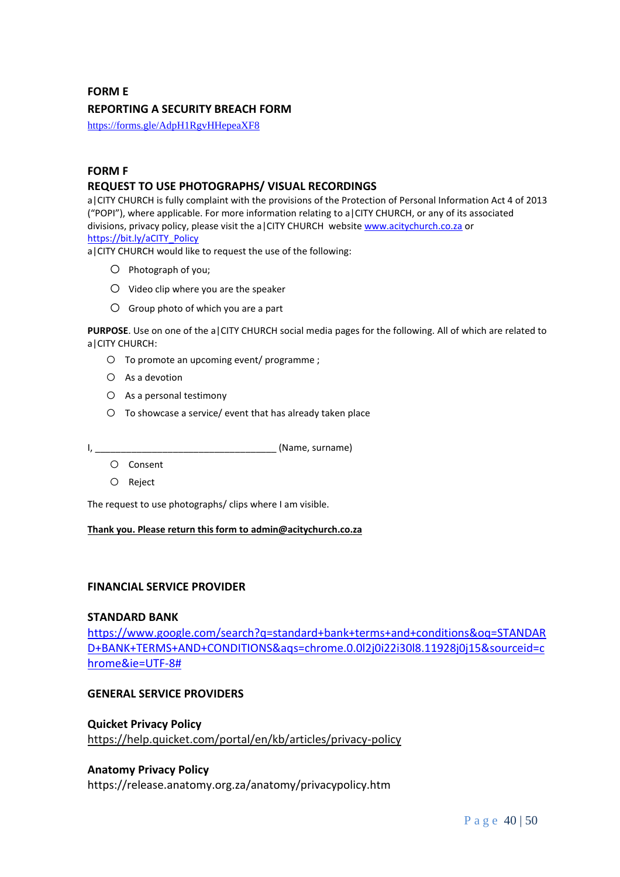#### **FORM E**

#### **REPORTING A SECURITY BREACH FORM**

<https://forms.gle/AdpH1RgvHHepeaXF8>

#### **FORM F**

#### **REQUEST TO USE PHOTOGRAPHS/ VISUAL RECORDINGS**

a|CITY CHURCH is fully complaint with the provisions of the Protection of Personal Information Act 4 of 2013 ("POPI"), where applicable. For more information relating to a|CITY CHURCH, or any of its associated divisions, privacy policy, please visit the a CITY CHURCH websit[e www.acitychurch.co.za](http://www.acitychurch.co.za/) or [https://bit.ly/aCITY\\_Policy](https://bit.ly/aCITY_Policy)

a|CITY CHURCH would like to request the use of the following:

- o Photograph of you;
- o Video clip where you are the speaker
- $O$  Group photo of which you are a part

**PURPOSE**. Use on one of the a|CITY CHURCH social media pages for the following. All of which are related to a|CITY CHURCH:

- o To promote an upcoming event/ programme ;
- o As a devotion
- o As a personal testimony
- o To showcase a service/ event that has already taken place

I, \_\_\_\_\_\_\_\_\_\_\_\_\_\_\_\_\_\_\_\_\_\_\_\_\_\_\_\_\_\_\_\_\_\_\_ (Name, surname)

- o Consent
- o Reject

The request to use photographs/ clips where I am visible.

#### **Thank you. Please return this form to admin@acitychurch.co.za**

#### **FINANCIAL SERVICE PROVIDER**

#### **STANDARD BANK**

[https://www.google.com/search?q=standard+bank+terms+and+conditions&oq=STANDAR](https://www.google.com/search?q=standard+bank+terms+and+conditions&oq=STANDARD+BANK+TERMS+AND+CONDITIONS&aqs=chrome.0.0l2j0i22i30l8.11928j0j15&sourceid=chrome&ie=UTF-8) [D+BANK+TERMS+AND+CONDITIONS&aqs=chrome.0.0l2j0i22i30l8.11928j0j15&sourceid=c](https://www.google.com/search?q=standard+bank+terms+and+conditions&oq=STANDARD+BANK+TERMS+AND+CONDITIONS&aqs=chrome.0.0l2j0i22i30l8.11928j0j15&sourceid=chrome&ie=UTF-8) [hrome&ie=UTF-8#](https://www.google.com/search?q=standard+bank+terms+and+conditions&oq=STANDARD+BANK+TERMS+AND+CONDITIONS&aqs=chrome.0.0l2j0i22i30l8.11928j0j15&sourceid=chrome&ie=UTF-8)

#### **GENERAL SERVICE PROVIDERS**

## **Quicket Privacy Policy** <https://help.quicket.com/portal/en/kb/articles/privacy-policy>

#### **Anatomy Privacy Policy**

https://release.anatomy.org.za/anatomy/privacypolicy.htm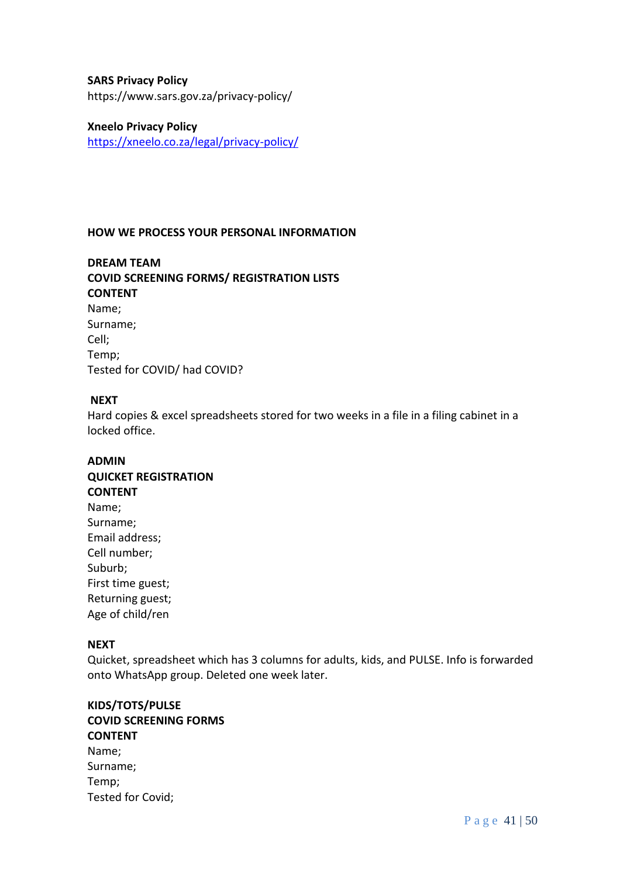## **SARS Privacy Policy**

https://www.sars.gov.za/privacy-policy/

#### **Xneelo Privacy Policy**

<https://xneelo.co.za/legal/privacy-policy/>

#### **HOW WE PROCESS YOUR PERSONAL INFORMATION**

## **DREAM TEAM COVID SCREENING FORMS/ REGISTRATION LISTS CONTENT** Name; Surname; Cell; Temp; Tested for COVID/ had COVID?

#### **NEXT**

Hard copies & excel spreadsheets stored for two weeks in a file in a filing cabinet in a locked office.

# **ADMIN QUICKET REGISTRATION CONTENT** Name; Surname; Email address; Cell number; Suburb; First time guest; Returning guest; Age of child/ren

## **NEXT**

Quicket, spreadsheet which has 3 columns for adults, kids, and PULSE. Info is forwarded onto WhatsApp group. Deleted one week later.

## **KIDS/TOTS/PULSE COVID SCREENING FORMS CONTENT** Name; Surname; Temp; Tested for Covid;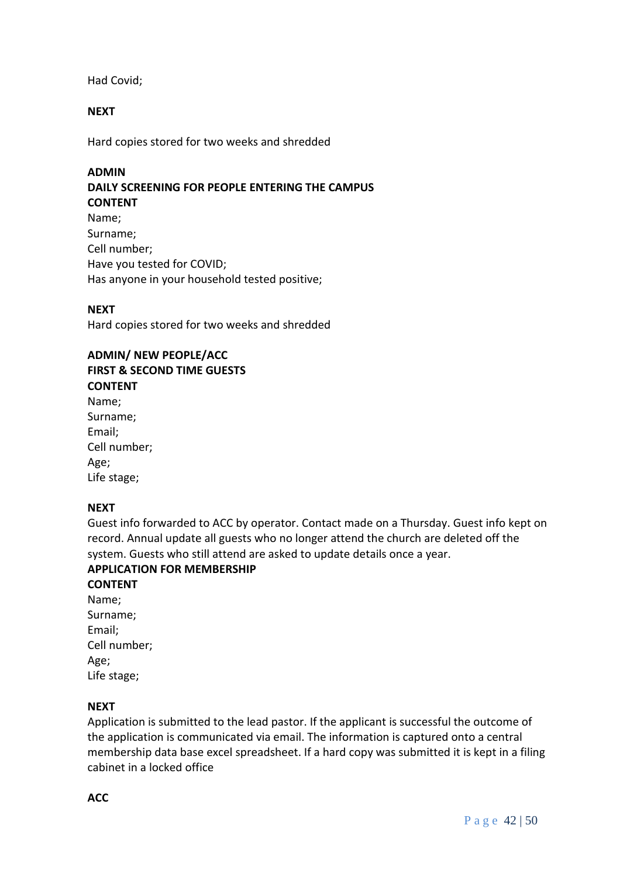Had Covid;

#### **NEXT**

Hard copies stored for two weeks and shredded

**ADMIN DAILY SCREENING FOR PEOPLE ENTERING THE CAMPUS CONTENT** Name; Surname; Cell number; Have you tested for COVID; Has anyone in your household tested positive;

#### **NEXT**

Hard copies stored for two weeks and shredded

#### **ADMIN/ NEW PEOPLE/ACC**

**FIRST & SECOND TIME GUESTS**

## **CONTENT**

Name; Surname; Email; Cell number; Age; Life stage;

#### **NEXT**

Guest info forwarded to ACC by operator. Contact made on a Thursday. Guest info kept on record. Annual update all guests who no longer attend the church are deleted off the system. Guests who still attend are asked to update details once a year.

## **APPLICATION FOR MEMBERSHIP**

**CONTENT** Name; Surname; Email; Cell number; Age; Life stage;

#### **NEXT**

Application is submitted to the lead pastor. If the applicant is successful the outcome of the application is communicated via email. The information is captured onto a central membership data base excel spreadsheet. If a hard copy was submitted it is kept in a filing cabinet in a locked office

**ACC**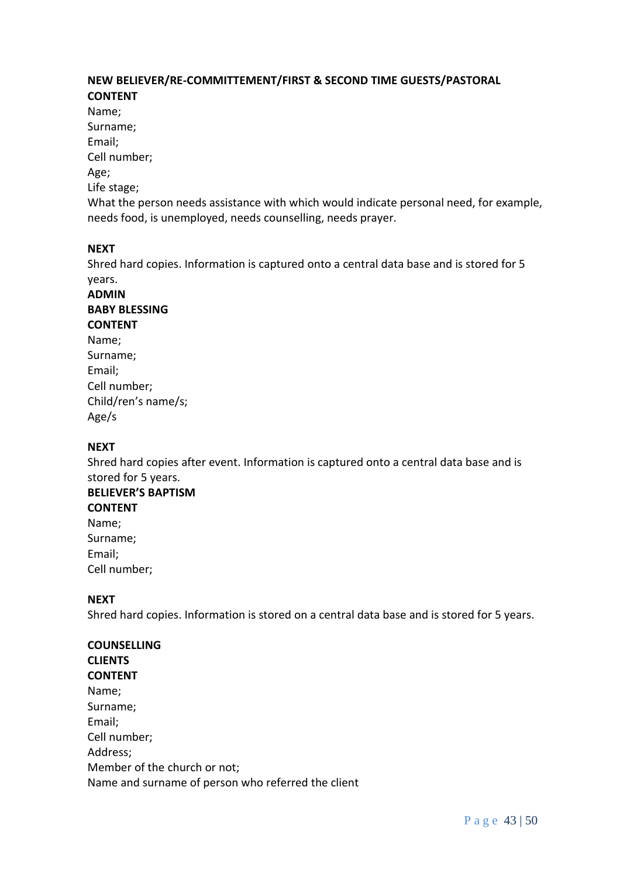## **NEW BELIEVER/RE-COMMITTEMENT/FIRST & SECOND TIME GUESTS/PASTORAL CONTENT**

Name;

Surname;

Email;

Cell number;

Age;

Life stage;

What the person needs assistance with which would indicate personal need, for example, needs food, is unemployed, needs counselling, needs prayer.

## **NEXT**

Shred hard copies. Information is captured onto a central data base and is stored for 5 years.

## **ADMIN BABY BLESSING CONTENT** Name; Surname; Email; Cell number; Child/ren's name/s; Age/s

# **NEXT**

Shred hard copies after event. Information is captured onto a central data base and is stored for 5 years.

# **BELIEVER'S BAPTISM**

**CONTENT** Name; Surname; Email; Cell number;

## **NEXT**

Shred hard copies. Information is stored on a central data base and is stored for 5 years.

# **COUNSELLING**

**CLIENTS CONTENT** Name; Surname; Email; Cell number; Address; Member of the church or not; Name and surname of person who referred the client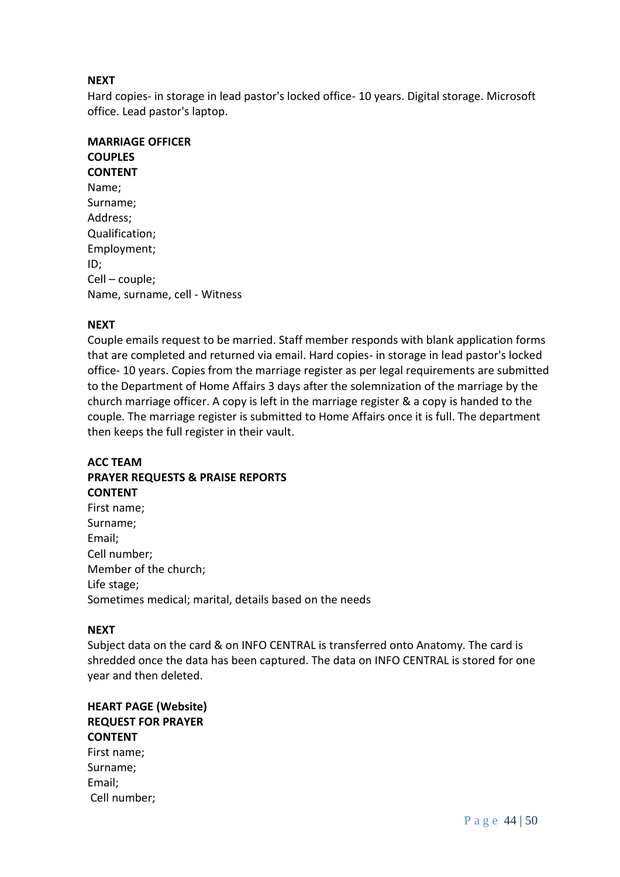## **NEXT**

Hard copies- in storage in lead pastor's locked office- 10 years. Digital storage. Microsoft office. Lead pastor's laptop.

## **MARRIAGE OFFICER COUPLES CONTENT** Name; Surname; Address; Qualification; Employment; ID; Cell – couple; Name, surname, cell - Witness

## **NEXT**

Couple emails request to be married. Staff member responds with blank application forms that are completed and returned via email. Hard copies- in storage in lead pastor's locked office- 10 years. Copies from the marriage register as per legal requirements are submitted to the Department of Home Affairs 3 days after the solemnization of the marriage by the church marriage officer. A copy is left in the marriage register & a copy is handed to the couple. The marriage register is submitted to Home Affairs once it is full. The department then keeps the full register in their vault.

## **ACC TEAM PRAYER REQUESTS & PRAISE REPORTS CONTENT**

| First name;                                            |
|--------------------------------------------------------|
| Surname;                                               |
| Email;                                                 |
| Cell number;                                           |
| Member of the church;                                  |
| Life stage;                                            |
| Sometimes medical; marital, details based on the needs |

## **NEXT**

Subject data on the card & on INFO CENTRAL is transferred onto Anatomy. The card is shredded once the data has been captured. The data on INFO CENTRAL is stored for one year and then deleted.

**HEART PAGE (Website) REQUEST FOR PRAYER CONTENT** First name; Surname; Email;

Cell number;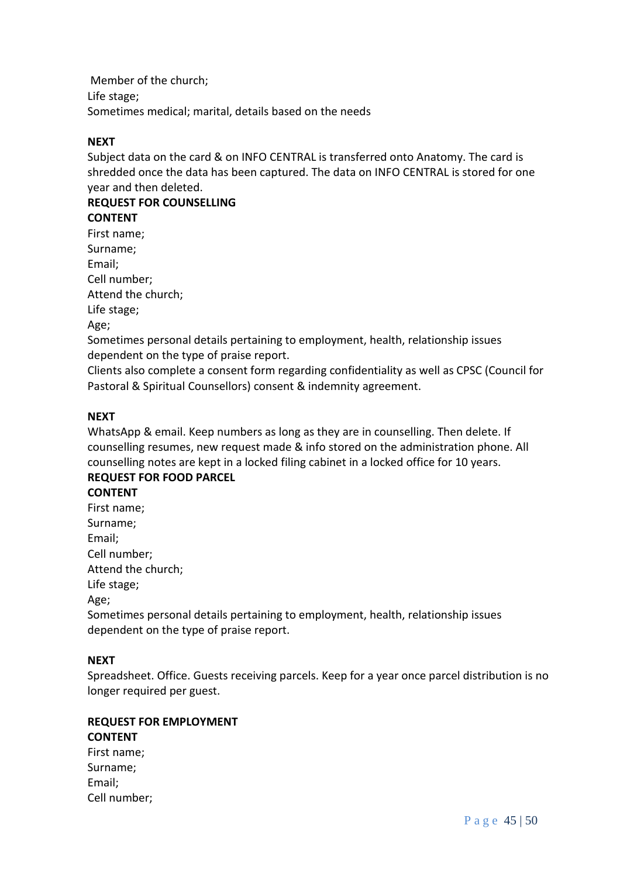Member of the church; Life stage; Sometimes medical; marital, details based on the needs

## **NEXT**

Subject data on the card & on INFO CENTRAL is transferred onto Anatomy. The card is shredded once the data has been captured. The data on INFO CENTRAL is stored for one year and then deleted.

# **REQUEST FOR COUNSELLING CONTENT**

First name; Surname; Email; Cell number; Attend the church; Life stage; Age;

Sometimes personal details pertaining to employment, health, relationship issues dependent on the type of praise report.

Clients also complete a consent form regarding confidentiality as well as CPSC (Council for Pastoral & Spiritual Counsellors) consent & indemnity agreement.

## **NEXT**

WhatsApp & email. Keep numbers as long as they are in counselling. Then delete. If counselling resumes, new request made & info stored on the administration phone. All counselling notes are kept in a locked filing cabinet in a locked office for 10 years.

## **REQUEST FOR FOOD PARCEL CONTENT**

First name; Surname; Email; Cell number; Attend the church; Life stage; Age;

Sometimes personal details pertaining to employment, health, relationship issues dependent on the type of praise report.

## **NEXT**

Spreadsheet. Office. Guests receiving parcels. Keep for a year once parcel distribution is no longer required per guest.

## **REQUEST FOR EMPLOYMENT**

## **CONTENT**

First name; Surname; Email; Cell number;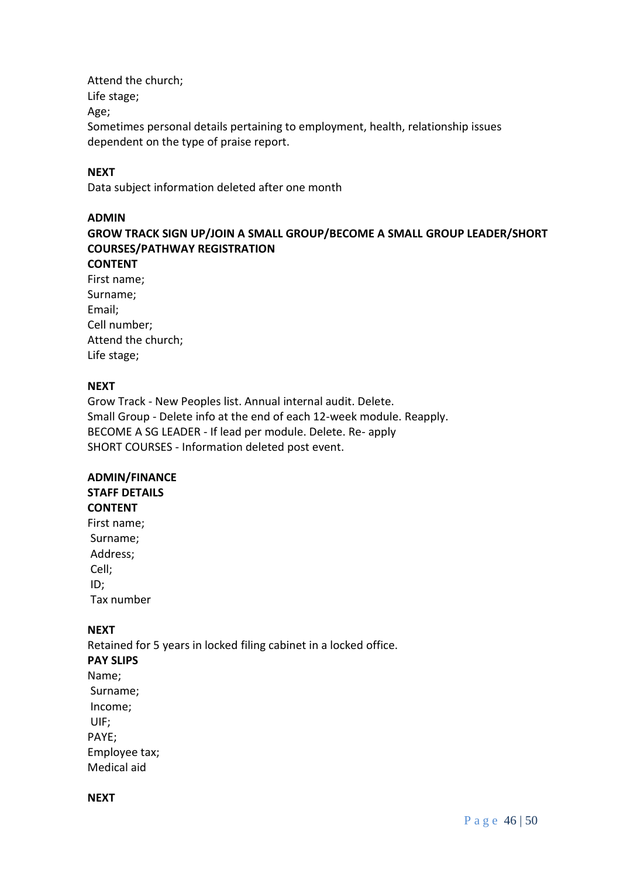Attend the church; Life stage; Age; Sometimes personal details pertaining to employment, health, relationship issues dependent on the type of praise report.

#### **NEXT**

Data subject information deleted after one month

#### **ADMIN**

**GROW TRACK SIGN UP/JOIN A SMALL GROUP/BECOME A SMALL GROUP LEADER/SHORT COURSES/PATHWAY REGISTRATION**

## **CONTENT**

| First name;        |
|--------------------|
| Surname;           |
| Email;             |
| Cell number;       |
| Attend the church; |
| Life stage;        |

## **NEXT**

Grow Track - New Peoples list. Annual internal audit. Delete. Small Group - Delete info at the end of each 12-week module. Reapply. BECOME A SG LEADER - If lead per module. Delete. Re- apply SHORT COURSES - Information deleted post event.

# **ADMIN/FINANCE**

# **STAFF DETAILS**

# **CONTENT**

First name; Surname; Address; Cell; ID; Tax number

## **NEXT**

Retained for 5 years in locked filing cabinet in a locked office. **PAY SLIPS** Name; Surname; Income; UIF; PAYE; Employee tax; Medical aid

#### **NEXT**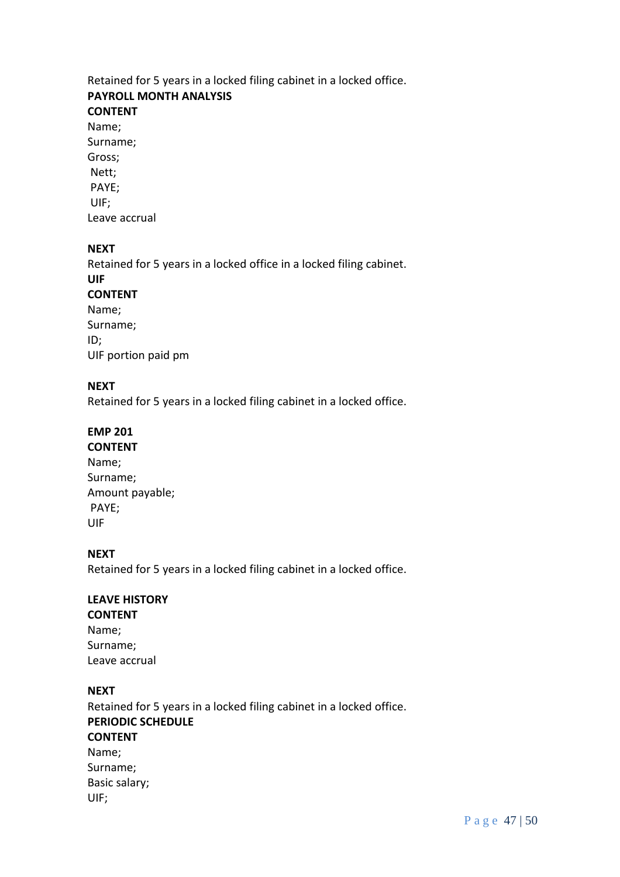# Retained for 5 years in a locked filing cabinet in a locked office. **PAYROLL MONTH ANALYSIS**

# **CONTENT**

Name; Surname; Gross; Nett; PAYE; UIF; Leave accrual

## **NEXT**

Retained for 5 years in a locked office in a locked filing cabinet. **UIF CONTENT** Name; Surname; ID; UIF portion paid pm

## **NEXT**

Retained for 5 years in a locked filing cabinet in a locked office.

## **EMP 201**

**CONTENT** Name; Surname; Amount payable; PAYE; UIF

## **NEXT**

Retained for 5 years in a locked filing cabinet in a locked office.

#### **LEAVE HISTORY CONTENT**

Name; Surname; Leave accrual

## **NEXT**

Retained for 5 years in a locked filing cabinet in a locked office. **PERIODIC SCHEDULE CONTENT** Name; Surname; Basic salary; UIF;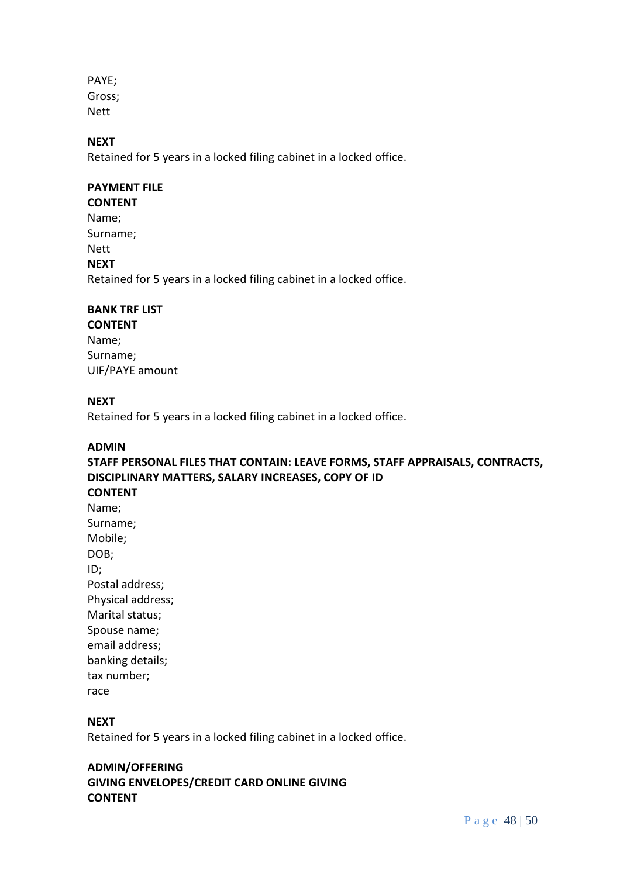PAYE; Gross; Nett

## **NEXT**

Retained for 5 years in a locked filing cabinet in a locked office.

## **PAYMENT FILE**

**CONTENT**

Name; Surname; Nett **NEXT** Retained for 5 years in a locked filing cabinet in a locked office.

## **BANK TRF LIST**

**CONTENT** Name; Surname; UIF/PAYE amount

## **NEXT**

Retained for 5 years in a locked filing cabinet in a locked office.

#### **ADMIN**

**STAFF PERSONAL FILES THAT CONTAIN: LEAVE FORMS, STAFF APPRAISALS, CONTRACTS, DISCIPLINARY MATTERS, SALARY INCREASES, COPY OF ID CONTENT** Name;

Surname; Mobile; DOB; ID; Postal address; Physical address; Marital status; Spouse name; email address; banking details; tax number; race

## **NEXT**

Retained for 5 years in a locked filing cabinet in a locked office.

## **ADMIN/OFFERING**

**GIVING ENVELOPES/CREDIT CARD ONLINE GIVING CONTENT**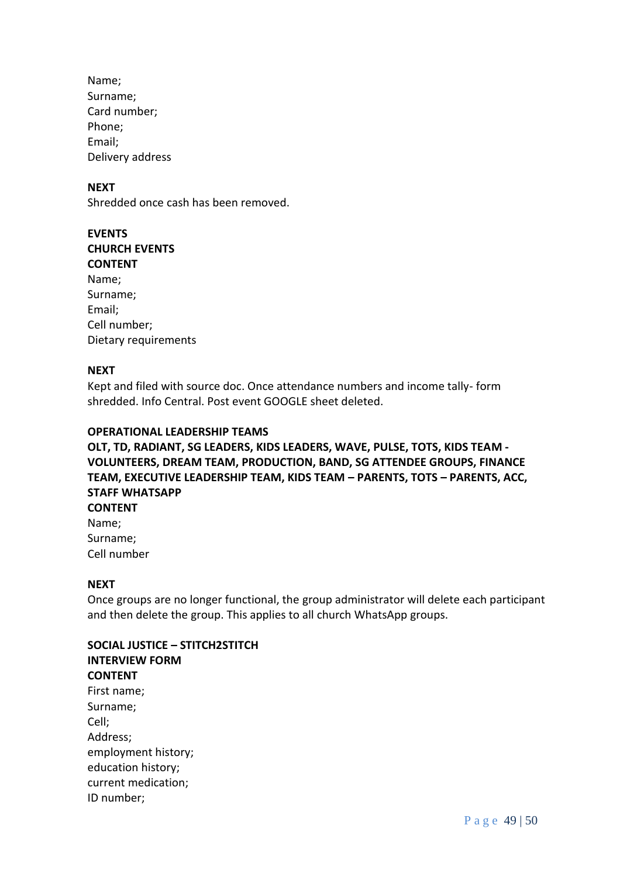Name; Surname; Card number; Phone; Email; Delivery address

#### **NEXT**

Shredded once cash has been removed.

| <b>EVENTS</b>        |
|----------------------|
| <b>CHURCH EVENTS</b> |
| <b>CONTENT</b>       |
| Name;                |
| Surname;             |
| Email;               |
| Cell number;         |
| Dietary requirements |
|                      |

#### **NEXT**

Kept and filed with source doc. Once attendance numbers and income tally- form shredded. Info Central. Post event GOOGLE sheet deleted.

#### **OPERATIONAL LEADERSHIP TEAMS**

**OLT, TD, RADIANT, SG LEADERS, KIDS LEADERS, WAVE, PULSE, TOTS, KIDS TEAM - VOLUNTEERS, DREAM TEAM, PRODUCTION, BAND, SG ATTENDEE GROUPS, FINANCE TEAM, EXECUTIVE LEADERSHIP TEAM, KIDS TEAM – PARENTS, TOTS – PARENTS, ACC, STAFF WHATSAPP**

**CONTENT** Name; Surname; Cell number

#### **NEXT**

Once groups are no longer functional, the group administrator will delete each participant and then delete the group. This applies to all church WhatsApp groups.

**SOCIAL JUSTICE – STITCH2STITCH INTERVIEW FORM CONTENT** First name; Surname; Cell; Address; employment history; education history; current medication; ID number;